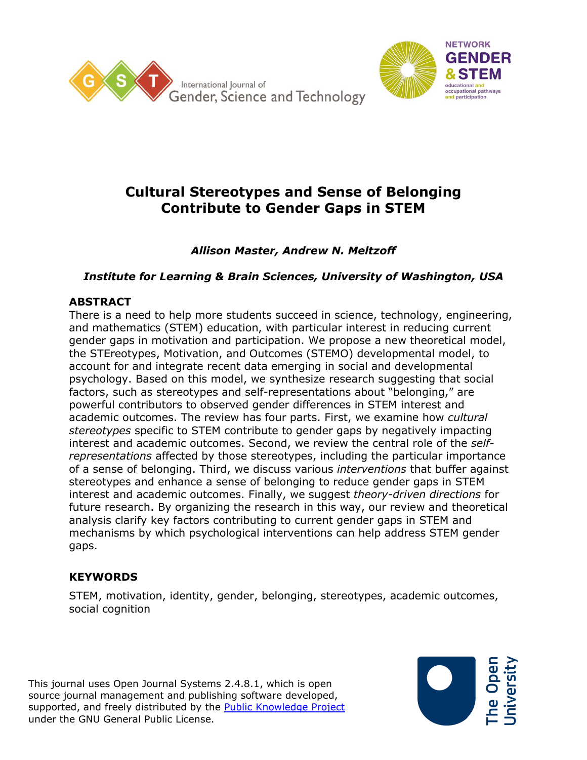



# **Cultural Stereotypes and Sense of Belonging Contribute to Gender Gaps in STEM**

## *Allison Master, Andrew N. Meltzoff*

## *Institute for Learning & Brain Sciences, University of Washington, USA*

## **ABSTRACT**

There is a need to help more students succeed in science, technology, engineering, and mathematics (STEM) education, with particular interest in reducing current gender gaps in motivation and participation. We propose a new theoretical model, the STEreotypes, Motivation, and Outcomes (STEMO) developmental model, to account for and integrate recent data emerging in social and developmental psychology. Based on this model, we synthesize research suggesting that social factors, such as stereotypes and self-representations about "belonging," are powerful contributors to observed gender differences in STEM interest and academic outcomes. The review has four parts. First, we examine how *cultural stereotypes* specific to STEM contribute to gender gaps by negatively impacting interest and academic outcomes. Second, we review the central role of the *selfrepresentations* affected by those stereotypes, including the particular importance of a sense of belonging. Third, we discuss various *interventions* that buffer against stereotypes and enhance a sense of belonging to reduce gender gaps in STEM interest and academic outcomes. Finally, we suggest *theory-driven directions* for future research. By organizing the research in this way, our review and theoretical analysis clarify key factors contributing to current gender gaps in STEM and mechanisms by which psychological interventions can help address STEM gender gaps.

## **KEYWORDS**

STEM, motivation, identity, gender, belonging, stereotypes, academic outcomes, social cognition

This journal uses Open Journal Systems 2.4.8.1, which is open source journal management and publishing software developed, supported, and freely distributed by the [Public Knowledge Project](http://pkp.sfu.ca/) under the GNU General Public License.

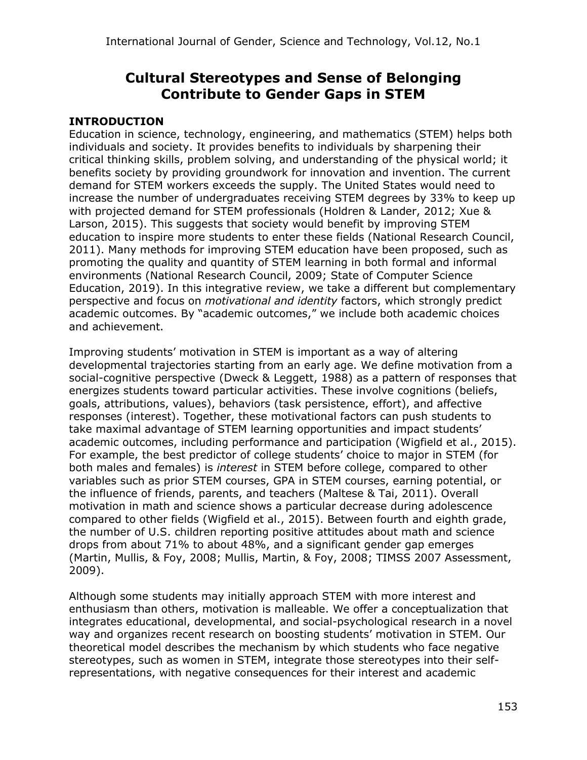## **Cultural Stereotypes and Sense of Belonging Contribute to Gender Gaps in STEM**

### **INTRODUCTION**

Education in science, technology, engineering, and mathematics (STEM) helps both individuals and society. It provides benefits to individuals by sharpening their critical thinking skills, problem solving, and understanding of the physical world; it benefits society by providing groundwork for innovation and invention. The current demand for STEM workers exceeds the supply. The United States would need to increase the number of undergraduates receiving STEM degrees by 33% to keep up with projected demand for STEM professionals (Holdren & Lander, 2012; Xue & Larson, 2015). This suggests that society would benefit by improving STEM education to inspire more students to enter these fields (National Research Council, 2011). Many methods for improving STEM education have been proposed, such as promoting the quality and quantity of STEM learning in both formal and informal environments (National Research Council, 2009; State of Computer Science Education, 2019). In this integrative review, we take a different but complementary perspective and focus on *motivational and identity* factors, which strongly predict academic outcomes. By "academic outcomes," we include both academic choices and achievement.

Improving students' motivation in STEM is important as a way of altering developmental trajectories starting from an early age. We define motivation from a social-cognitive perspective (Dweck & Leggett, 1988) as a pattern of responses that energizes students toward particular activities. These involve cognitions (beliefs, goals, attributions, values), behaviors (task persistence, effort), and affective responses (interest). Together, these motivational factors can push students to take maximal advantage of STEM learning opportunities and impact students' academic outcomes, including performance and participation (Wigfield et al., 2015). For example, the best predictor of college students' choice to major in STEM (for both males and females) is *interest* in STEM before college, compared to other variables such as prior STEM courses, GPA in STEM courses, earning potential, or the influence of friends, parents, and teachers (Maltese & Tai, 2011). Overall motivation in math and science shows a particular decrease during adolescence compared to other fields (Wigfield et al., 2015). Between fourth and eighth grade, the number of U.S. children reporting positive attitudes about math and science drops from about 71% to about 48%, and a significant gender gap emerges (Martin, Mullis, & Foy, 2008; Mullis, Martin, & Foy, 2008; TIMSS 2007 Assessment, 2009).

Although some students may initially approach STEM with more interest and enthusiasm than others, motivation is malleable. We offer a conceptualization that integrates educational, developmental, and social-psychological research in a novel way and organizes recent research on boosting students' motivation in STEM. Our theoretical model describes the mechanism by which students who face negative stereotypes, such as women in STEM, integrate those stereotypes into their selfrepresentations, with negative consequences for their interest and academic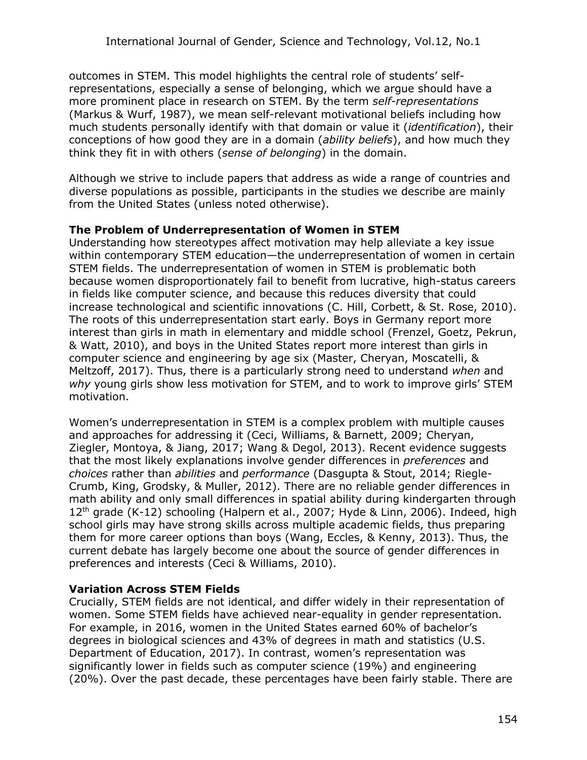outcomes in STEM. This model highlights the central role of students' selfrepresentations, especially a sense of belonging, which we argue should have a more prominent place in research on STEM. By the term *self-representations* (Markus & Wurf, 1987), we mean self-relevant motivational beliefs including how much students personally identify with that domain or value it (*identification*), their conceptions of how good they are in a domain (*ability beliefs*), and how much they think they fit in with others (*sense of belonging*) in the domain.

Although we strive to include papers that address as wide a range of countries and diverse populations as possible, participants in the studies we describe are mainly from the United States (unless noted otherwise).

#### **The Problem of Underrepresentation of Women in STEM**

Understanding how stereotypes affect motivation may help alleviate a key issue within contemporary STEM education—the underrepresentation of women in certain STEM fields. The underrepresentation of women in STEM is problematic both because women disproportionately fail to benefit from lucrative, high-status careers in fields like computer science, and because this reduces diversity that could increase technological and scientific innovations (C. Hill, Corbett, & St. Rose, 2010). The roots of this underrepresentation start early. Boys in Germany report more interest than girls in math in elementary and middle school (Frenzel, Goetz, Pekrun, & Watt, 2010), and boys in the United States report more interest than girls in computer science and engineering by age six (Master, Cheryan, Moscatelli, & Meltzoff, 2017). Thus, there is a particularly strong need to understand *when* and *why* young girls show less motivation for STEM, and to work to improve girls' STEM motivation.

Women's underrepresentation in STEM is a complex problem with multiple causes and approaches for addressing it (Ceci, Williams, & Barnett, 2009; Cheryan, Ziegler, Montoya, & Jiang, 2017; Wang & Degol, 2013). Recent evidence suggests that the most likely explanations involve gender differences in *preferences* and *choices* rather than *abilities* and *performance* (Dasgupta & Stout, 2014; Riegle-Crumb, King, Grodsky, & Muller, 2012). There are no reliable gender differences in math ability and only small differences in spatial ability during kindergarten through 12<sup>th</sup> grade (K-12) schooling (Halpern et al., 2007; Hyde & Linn, 2006). Indeed, high school girls may have strong skills across multiple academic fields, thus preparing them for more career options than boys (Wang, Eccles, & Kenny, 2013). Thus, the current debate has largely become one about the source of gender differences in preferences and interests (Ceci & Williams, 2010).

## **Variation Across STEM Fields**

Crucially, STEM fields are not identical, and differ widely in their representation of women. Some STEM fields have achieved near-equality in gender representation. For example, in 2016, women in the United States earned 60% of bachelor's degrees in biological sciences and 43% of degrees in math and statistics (U.S. Department of Education, 2017). In contrast, women's representation was significantly lower in fields such as computer science (19%) and engineering (20%). Over the past decade, these percentages have been fairly stable. There are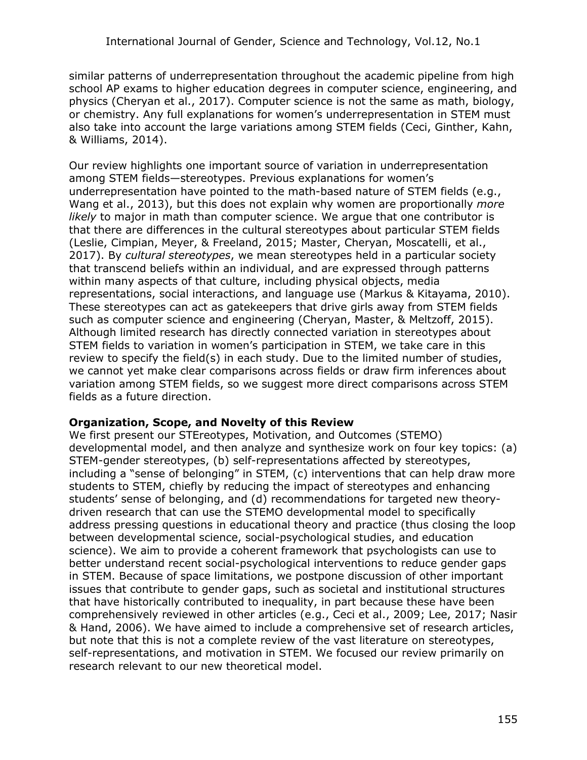similar patterns of underrepresentation throughout the academic pipeline from high school AP exams to higher education degrees in computer science, engineering, and physics (Cheryan et al., 2017). Computer science is not the same as math, biology, or chemistry. Any full explanations for women's underrepresentation in STEM must also take into account the large variations among STEM fields (Ceci, Ginther, Kahn, & Williams, 2014).

Our review highlights one important source of variation in underrepresentation among STEM fields—stereotypes. Previous explanations for women's underrepresentation have pointed to the math-based nature of STEM fields (e.g., Wang et al., 2013), but this does not explain why women are proportionally *more likely* to major in math than computer science. We argue that one contributor is that there are differences in the cultural stereotypes about particular STEM fields (Leslie, Cimpian, Meyer, & Freeland, 2015; Master, Cheryan, Moscatelli, et al., 2017). By *cultural stereotypes*, we mean stereotypes held in a particular society that transcend beliefs within an individual, and are expressed through patterns within many aspects of that culture, including physical objects, media representations, social interactions, and language use (Markus & Kitayama, 2010). These stereotypes can act as gatekeepers that drive girls away from STEM fields such as computer science and engineering (Cheryan, Master, & Meltzoff, 2015). Although limited research has directly connected variation in stereotypes about STEM fields to variation in women's participation in STEM, we take care in this review to specify the field(s) in each study. Due to the limited number of studies, we cannot yet make clear comparisons across fields or draw firm inferences about variation among STEM fields, so we suggest more direct comparisons across STEM fields as a future direction.

#### **Organization, Scope, and Novelty of this Review**

We first present our STEreotypes, Motivation, and Outcomes (STEMO) developmental model, and then analyze and synthesize work on four key topics: (a) STEM-gender stereotypes, (b) self-representations affected by stereotypes, including a "sense of belonging" in STEM, (c) interventions that can help draw more students to STEM, chiefly by reducing the impact of stereotypes and enhancing students' sense of belonging, and (d) recommendations for targeted new theorydriven research that can use the STEMO developmental model to specifically address pressing questions in educational theory and practice (thus closing the loop between developmental science, social-psychological studies, and education science). We aim to provide a coherent framework that psychologists can use to better understand recent social-psychological interventions to reduce gender gaps in STEM. Because of space limitations, we postpone discussion of other important issues that contribute to gender gaps, such as societal and institutional structures that have historically contributed to inequality, in part because these have been comprehensively reviewed in other articles (e.g., Ceci et al., 2009; Lee, 2017; Nasir & Hand, 2006). We have aimed to include a comprehensive set of research articles, but note that this is not a complete review of the vast literature on stereotypes, self-representations, and motivation in STEM. We focused our review primarily on research relevant to our new theoretical model.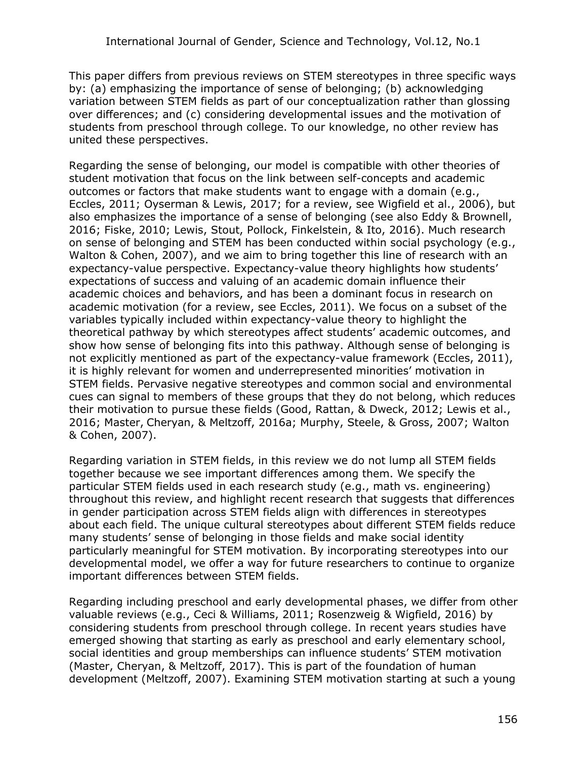This paper differs from previous reviews on STEM stereotypes in three specific ways by: (a) emphasizing the importance of sense of belonging; (b) acknowledging variation between STEM fields as part of our conceptualization rather than glossing over differences; and (c) considering developmental issues and the motivation of students from preschool through college. To our knowledge, no other review has united these perspectives.

Regarding the sense of belonging, our model is compatible with other theories of student motivation that focus on the link between self-concepts and academic outcomes or factors that make students want to engage with a domain (e.g., Eccles, 2011; Oyserman & Lewis, 2017; for a review, see Wigfield et al., 2006), but also emphasizes the importance of a sense of belonging (see also Eddy & Brownell, 2016; Fiske, 2010; Lewis, Stout, Pollock, Finkelstein, & Ito, 2016). Much research on sense of belonging and STEM has been conducted within social psychology (e.g., Walton & Cohen, 2007), and we aim to bring together this line of research with an expectancy-value perspective. Expectancy-value theory highlights how students' expectations of success and valuing of an academic domain influence their academic choices and behaviors, and has been a dominant focus in research on academic motivation (for a review, see Eccles, 2011). We focus on a subset of the variables typically included within expectancy-value theory to highlight the theoretical pathway by which stereotypes affect students' academic outcomes, and show how sense of belonging fits into this pathway. Although sense of belonging is not explicitly mentioned as part of the expectancy-value framework (Eccles, 2011), it is highly relevant for women and underrepresented minorities' motivation in STEM fields. Pervasive negative stereotypes and common social and environmental cues can signal to members of these groups that they do not belong, which reduces their motivation to pursue these fields (Good, Rattan, & Dweck, 2012; Lewis et al., 2016; Master, Cheryan, & Meltzoff, 2016a; Murphy, Steele, & Gross, 2007; Walton & Cohen, 2007).

Regarding variation in STEM fields, in this review we do not lump all STEM fields together because we see important differences among them. We specify the particular STEM fields used in each research study (e.g., math vs. engineering) throughout this review, and highlight recent research that suggests that differences in gender participation across STEM fields align with differences in stereotypes about each field. The unique cultural stereotypes about different STEM fields reduce many students' sense of belonging in those fields and make social identity particularly meaningful for STEM motivation. By incorporating stereotypes into our developmental model, we offer a way for future researchers to continue to organize important differences between STEM fields.

Regarding including preschool and early developmental phases, we differ from other valuable reviews (e.g., Ceci & Williams, 2011; Rosenzweig & Wigfield, 2016) by considering students from preschool through college. In recent years studies have emerged showing that starting as early as preschool and early elementary school, social identities and group memberships can influence students' STEM motivation (Master, Cheryan, & Meltzoff, 2017). This is part of the foundation of human development (Meltzoff, 2007). Examining STEM motivation starting at such a young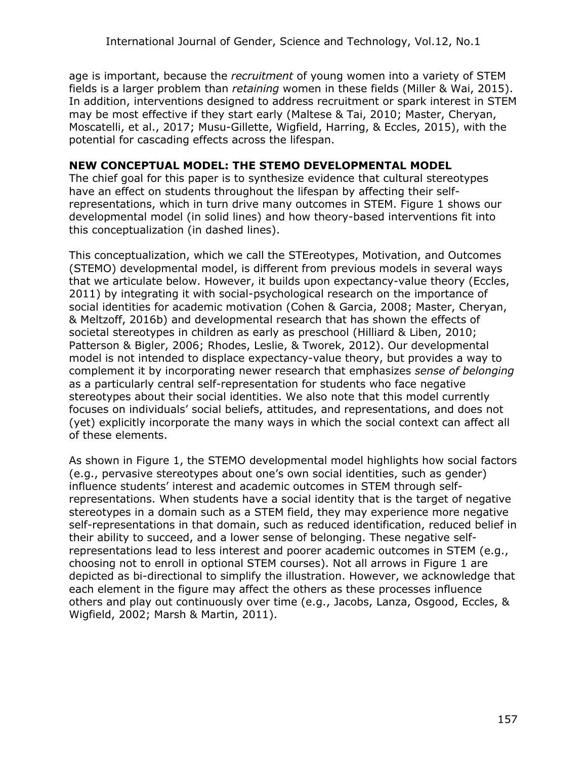age is important, because the *recruitment* of young women into a variety of STEM fields is a larger problem than *retaining* women in these fields (Miller & Wai, 2015). In addition, interventions designed to address recruitment or spark interest in STEM may be most effective if they start early (Maltese & Tai, 2010; Master, Cheryan, Moscatelli, et al., 2017; Musu-Gillette, Wigfield, Harring, & Eccles, 2015), with the potential for cascading effects across the lifespan.

#### **NEW CONCEPTUAL MODEL: THE STEMO DEVELOPMENTAL MODEL**

The chief goal for this paper is to synthesize evidence that cultural stereotypes have an effect on students throughout the lifespan by affecting their selfrepresentations, which in turn drive many outcomes in STEM. Figure 1 shows our developmental model (in solid lines) and how theory-based interventions fit into this conceptualization (in dashed lines).

This conceptualization, which we call the STEreotypes, Motivation, and Outcomes (STEMO) developmental model, is different from previous models in several ways that we articulate below. However, it builds upon expectancy-value theory (Eccles, 2011) by integrating it with social-psychological research on the importance of social identities for academic motivation (Cohen & Garcia, 2008; Master, Cheryan, & Meltzoff, 2016b) and developmental research that has shown the effects of societal stereotypes in children as early as preschool (Hilliard & Liben, 2010; Patterson & Bigler, 2006; Rhodes, Leslie, & Tworek, 2012). Our developmental model is not intended to displace expectancy-value theory, but provides a way to complement it by incorporating newer research that emphasizes *sense of belonging* as a particularly central self-representation for students who face negative stereotypes about their social identities. We also note that this model currently focuses on individuals' social beliefs, attitudes, and representations, and does not (yet) explicitly incorporate the many ways in which the social context can affect all of these elements.

As shown in Figure 1, the STEMO developmental model highlights how social factors (e.g., pervasive stereotypes about one's own social identities, such as gender) influence students' interest and academic outcomes in STEM through selfrepresentations. When students have a social identity that is the target of negative stereotypes in a domain such as a STEM field, they may experience more negative self-representations in that domain, such as reduced identification, reduced belief in their ability to succeed, and a lower sense of belonging. These negative selfrepresentations lead to less interest and poorer academic outcomes in STEM (e.g., choosing not to enroll in optional STEM courses). Not all arrows in Figure 1 are depicted as bi-directional to simplify the illustration. However, we acknowledge that each element in the figure may affect the others as these processes influence others and play out continuously over time (e.g., Jacobs, Lanza, Osgood, Eccles, & Wigfield, 2002; Marsh & Martin, 2011).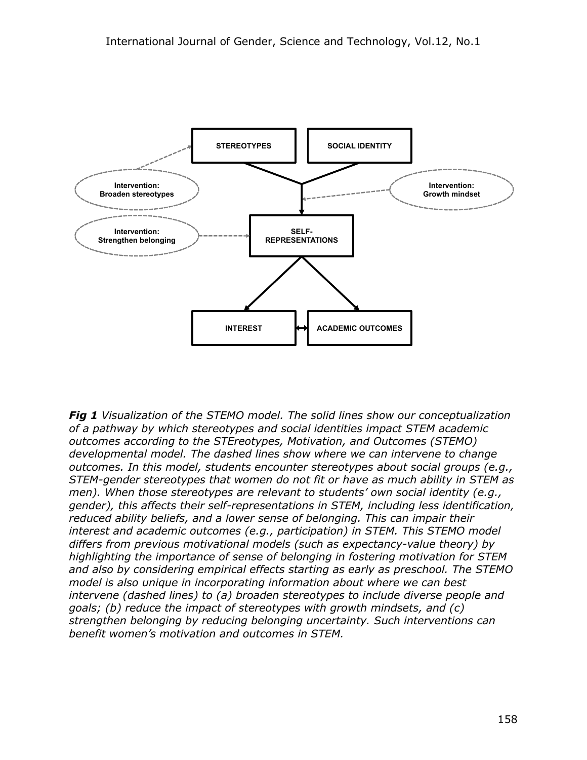

*Fig 1 Visualization of the STEMO model. The solid lines show our conceptualization of a pathway by which stereotypes and social identities impact STEM academic outcomes according to the STEreotypes, Motivation, and Outcomes (STEMO) developmental model. The dashed lines show where we can intervene to change outcomes. In this model, students encounter stereotypes about social groups (e.g., STEM-gender stereotypes that women do not fit or have as much ability in STEM as men). When those stereotypes are relevant to students' own social identity (e.g., gender), this affects their self-representations in STEM, including less identification, reduced ability beliefs, and a lower sense of belonging. This can impair their interest and academic outcomes (e.g., participation) in STEM. This STEMO model differs from previous motivational models (such as expectancy-value theory) by highlighting the importance of sense of belonging in fostering motivation for STEM and also by considering empirical effects starting as early as preschool. The STEMO model is also unique in incorporating information about where we can best intervene (dashed lines) to (a) broaden stereotypes to include diverse people and goals; (b) reduce the impact of stereotypes with growth mindsets, and (c) strengthen belonging by reducing belonging uncertainty. Such interventions can benefit women's motivation and outcomes in STEM.*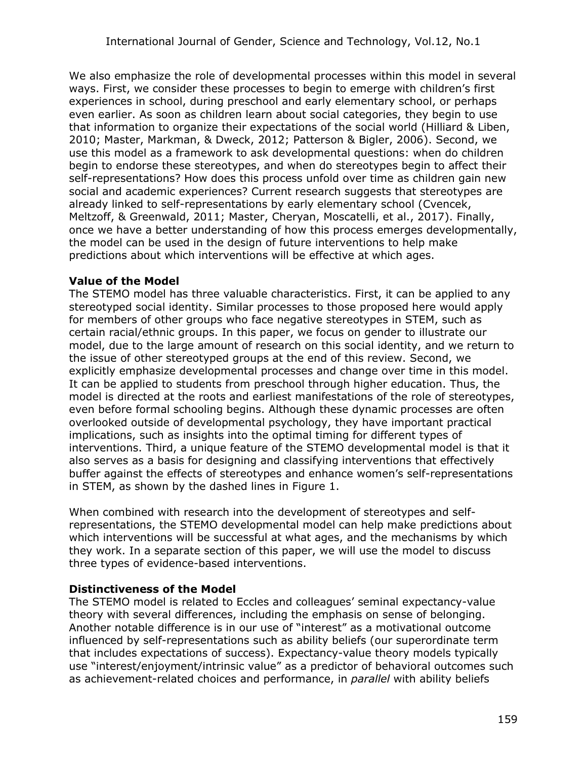We also emphasize the role of developmental processes within this model in several ways. First, we consider these processes to begin to emerge with children's first experiences in school, during preschool and early elementary school, or perhaps even earlier. As soon as children learn about social categories, they begin to use that information to organize their expectations of the social world (Hilliard & Liben, 2010; Master, Markman, & Dweck, 2012; Patterson & Bigler, 2006). Second, we use this model as a framework to ask developmental questions: when do children begin to endorse these stereotypes, and when do stereotypes begin to affect their self-representations? How does this process unfold over time as children gain new social and academic experiences? Current research suggests that stereotypes are already linked to self-representations by early elementary school (Cvencek, Meltzoff, & Greenwald, 2011; Master, Cheryan, Moscatelli, et al., 2017). Finally, once we have a better understanding of how this process emerges developmentally, the model can be used in the design of future interventions to help make predictions about which interventions will be effective at which ages.

#### **Value of the Model**

The STEMO model has three valuable characteristics. First, it can be applied to any stereotyped social identity. Similar processes to those proposed here would apply for members of other groups who face negative stereotypes in STEM, such as certain racial/ethnic groups. In this paper, we focus on gender to illustrate our model, due to the large amount of research on this social identity, and we return to the issue of other stereotyped groups at the end of this review. Second, we explicitly emphasize developmental processes and change over time in this model. It can be applied to students from preschool through higher education. Thus, the model is directed at the roots and earliest manifestations of the role of stereotypes, even before formal schooling begins. Although these dynamic processes are often overlooked outside of developmental psychology, they have important practical implications, such as insights into the optimal timing for different types of interventions. Third, a unique feature of the STEMO developmental model is that it also serves as a basis for designing and classifying interventions that effectively buffer against the effects of stereotypes and enhance women's self-representations in STEM, as shown by the dashed lines in Figure 1.

When combined with research into the development of stereotypes and selfrepresentations, the STEMO developmental model can help make predictions about which interventions will be successful at what ages, and the mechanisms by which they work. In a separate section of this paper, we will use the model to discuss three types of evidence-based interventions.

#### **Distinctiveness of the Model**

The STEMO model is related to Eccles and colleagues' seminal expectancy-value theory with several differences, including the emphasis on sense of belonging. Another notable difference is in our use of "interest" as a motivational outcome influenced by self-representations such as ability beliefs (our superordinate term that includes expectations of success). Expectancy-value theory models typically use "interest/enjoyment/intrinsic value" as a predictor of behavioral outcomes such as achievement-related choices and performance, in *parallel* with ability beliefs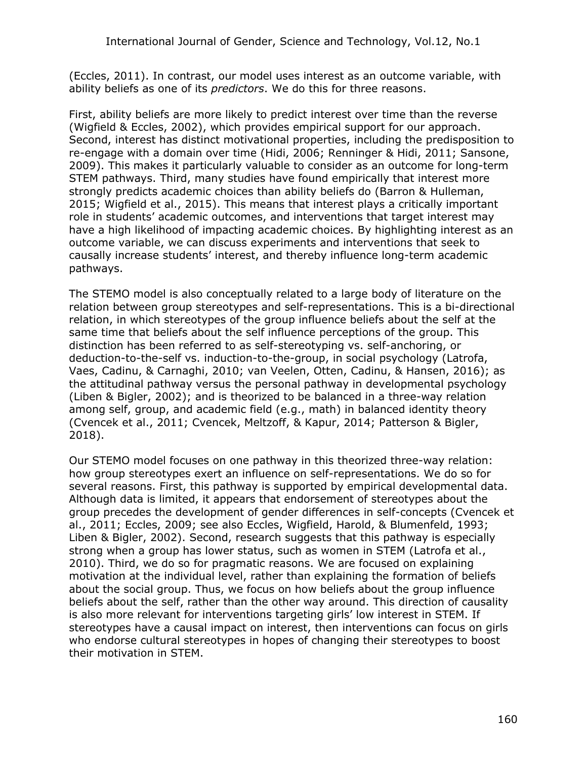(Eccles, 2011). In contrast, our model uses interest as an outcome variable, with ability beliefs as one of its *predictors*. We do this for three reasons.

First, ability beliefs are more likely to predict interest over time than the reverse (Wigfield & Eccles, 2002), which provides empirical support for our approach. Second, interest has distinct motivational properties, including the predisposition to re-engage with a domain over time (Hidi, 2006; Renninger & Hidi, 2011; Sansone, 2009). This makes it particularly valuable to consider as an outcome for long-term STEM pathways. Third, many studies have found empirically that interest more strongly predicts academic choices than ability beliefs do (Barron & Hulleman, 2015; Wigfield et al., 2015). This means that interest plays a critically important role in students' academic outcomes, and interventions that target interest may have a high likelihood of impacting academic choices. By highlighting interest as an outcome variable, we can discuss experiments and interventions that seek to causally increase students' interest, and thereby influence long-term academic pathways.

The STEMO model is also conceptually related to a large body of literature on the relation between group stereotypes and self-representations. This is a bi-directional relation, in which stereotypes of the group influence beliefs about the self at the same time that beliefs about the self influence perceptions of the group. This distinction has been referred to as self-stereotyping vs. self-anchoring, or deduction-to-the-self vs. induction-to-the-group, in social psychology (Latrofa, Vaes, Cadinu, & Carnaghi, 2010; van Veelen, Otten, Cadinu, & Hansen, 2016); as the attitudinal pathway versus the personal pathway in developmental psychology (Liben & Bigler, 2002); and is theorized to be balanced in a three-way relation among self, group, and academic field (e.g., math) in balanced identity theory (Cvencek et al., 2011; Cvencek, Meltzoff, & Kapur, 2014; Patterson & Bigler, 2018).

Our STEMO model focuses on one pathway in this theorized three-way relation: how group stereotypes exert an influence on self-representations. We do so for several reasons. First, this pathway is supported by empirical developmental data. Although data is limited, it appears that endorsement of stereotypes about the group precedes the development of gender differences in self-concepts (Cvencek et al., 2011; Eccles, 2009; see also Eccles, Wigfield, Harold, & Blumenfeld, 1993; Liben & Bigler, 2002). Second, research suggests that this pathway is especially strong when a group has lower status, such as women in STEM (Latrofa et al., 2010). Third, we do so for pragmatic reasons. We are focused on explaining motivation at the individual level, rather than explaining the formation of beliefs about the social group. Thus, we focus on how beliefs about the group influence beliefs about the self, rather than the other way around. This direction of causality is also more relevant for interventions targeting girls' low interest in STEM. If stereotypes have a causal impact on interest, then interventions can focus on girls who endorse cultural stereotypes in hopes of changing their stereotypes to boost their motivation in STEM.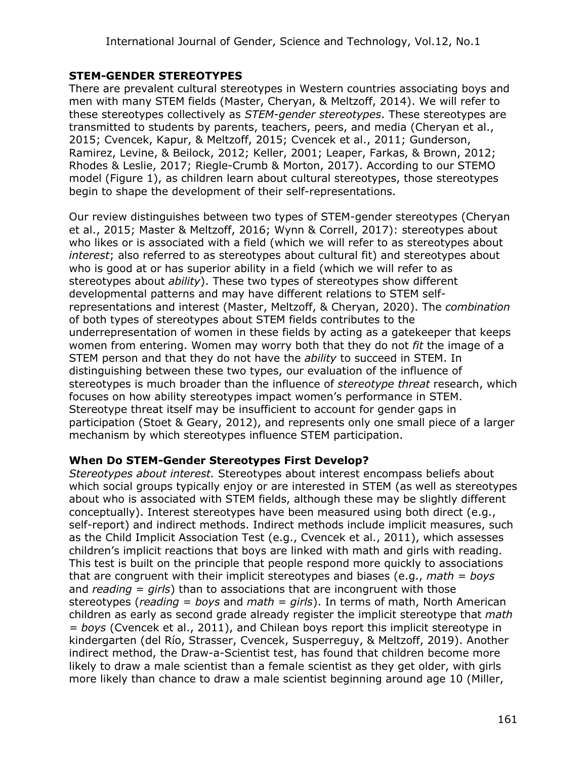#### **STEM-GENDER STEREOTYPES**

There are prevalent cultural stereotypes in Western countries associating boys and men with many STEM fields (Master, Cheryan, & Meltzoff, 2014). We will refer to these stereotypes collectively as *STEM-gender stereotypes*. These stereotypes are transmitted to students by parents, teachers, peers, and media (Cheryan et al., 2015; Cvencek, Kapur, & Meltzoff, 2015; Cvencek et al., 2011; Gunderson, Ramirez, Levine, & Beilock, 2012; Keller, 2001; Leaper, Farkas, & Brown, 2012; Rhodes & Leslie, 2017; Riegle-Crumb & Morton, 2017). According to our STEMO model (Figure 1), as children learn about cultural stereotypes, those stereotypes begin to shape the development of their self-representations.

Our review distinguishes between two types of STEM-gender stereotypes (Cheryan et al., 2015; Master & Meltzoff, 2016; Wynn & Correll, 2017): stereotypes about who likes or is associated with a field (which we will refer to as stereotypes about *interest*; also referred to as stereotypes about cultural fit) and stereotypes about who is good at or has superior ability in a field (which we will refer to as stereotypes about *ability*). These two types of stereotypes show different developmental patterns and may have different relations to STEM selfrepresentations and interest (Master, Meltzoff, & Cheryan, 2020). The *combination* of both types of stereotypes about STEM fields contributes to the underrepresentation of women in these fields by acting as a gatekeeper that keeps women from entering. Women may worry both that they do not *fit* the image of a STEM person and that they do not have the *ability* to succeed in STEM. In distinguishing between these two types, our evaluation of the influence of stereotypes is much broader than the influence of *stereotype threat* research, which focuses on how ability stereotypes impact women's performance in STEM. Stereotype threat itself may be insufficient to account for gender gaps in participation (Stoet & Geary, 2012), and represents only one small piece of a larger mechanism by which stereotypes influence STEM participation.

#### **When Do STEM-Gender Stereotypes First Develop?**

*Stereotypes about interest.* Stereotypes about interest encompass beliefs about which social groups typically enjoy or are interested in STEM (as well as stereotypes about who is associated with STEM fields, although these may be slightly different conceptually). Interest stereotypes have been measured using both direct (e.g., self-report) and indirect methods. Indirect methods include implicit measures, such as the Child Implicit Association Test (e.g., Cvencek et al., 2011), which assesses children's implicit reactions that boys are linked with math and girls with reading. This test is built on the principle that people respond more quickly to associations that are congruent with their implicit stereotypes and biases (e.g., *math* = *boys* and *reading* = *girls*) than to associations that are incongruent with those stereotypes (*reading* = *boys* and *math* = *girls*). In terms of math, North American children as early as second grade already register the implicit stereotype that *math = boys* (Cvencek et al., 2011), and Chilean boys report this implicit stereotype in kindergarten (del Río, Strasser, Cvencek, Susperreguy, & Meltzoff, 2019). Another indirect method, the Draw-a-Scientist test, has found that children become more likely to draw a male scientist than a female scientist as they get older, with girls more likely than chance to draw a male scientist beginning around age 10 (Miller,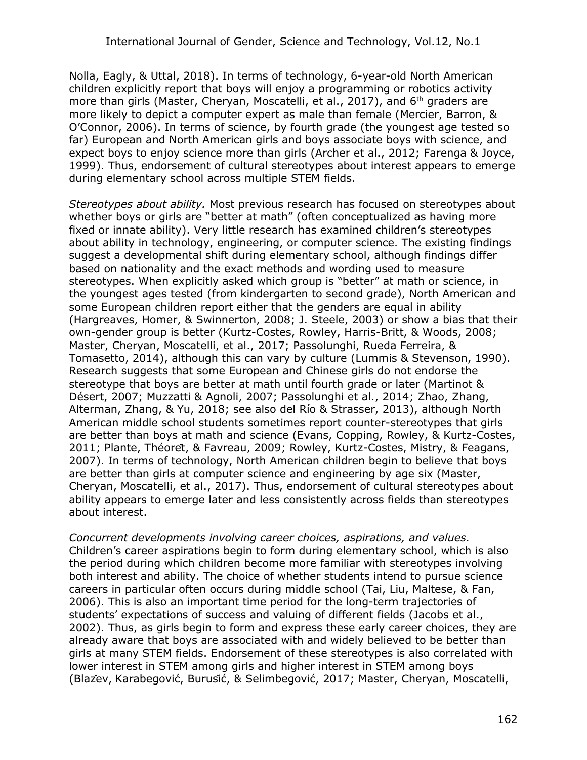Nolla, Eagly, & Uttal, 2018). In terms of technology, 6-year-old North American children explicitly report that boys will enjoy a programming or robotics activity more than girls (Master, Cheryan, Moscatelli, et al., 2017), and 6<sup>th</sup> graders are more likely to depict a computer expert as male than female (Mercier, Barron, & O'Connor, 2006). In terms of science, by fourth grade (the youngest age tested so far) European and North American girls and boys associate boys with science, and expect boys to enjoy science more than girls (Archer et al., 2012; Farenga & Joyce, 1999). Thus, endorsement of cultural stereotypes about interest appears to emerge during elementary school across multiple STEM fields.

*Stereotypes about ability.* Most previous research has focused on stereotypes about whether boys or girls are "better at math" (often conceptualized as having more fixed or innate ability). Very little research has examined children's stereotypes about ability in technology, engineering, or computer science. The existing findings suggest a developmental shift during elementary school, although findings differ based on nationality and the exact methods and wording used to measure stereotypes. When explicitly asked which group is "better" at math or science, in the youngest ages tested (from kindergarten to second grade), North American and some European children report either that the genders are equal in ability (Hargreaves, Homer, & Swinnerton, 2008; J. Steele, 2003) or show a bias that their own-gender group is better (Kurtz-Costes, Rowley, Harris-Britt, & Woods, 2008; Master, Cheryan, Moscatelli, et al., 2017; Passolunghi, Rueda Ferreira, & Tomasetto, 2014), although this can vary by culture (Lummis & Stevenson, 1990). Research suggests that some European and Chinese girls do not endorse the stereotype that boys are better at math until fourth grade or later (Martinot & Désert, 2007; Muzzatti & Agnoli, 2007; Passolunghi et al., 2014; Zhao, Zhang, Alterman, Zhang, & Yu, 2018; see also del Río & Strasser, 2013), although North American middle school students sometimes report counter-stereotypes that girls are better than boys at math and science (Evans, Copping, Rowley, & Kurtz-Costes, 2011; Plante, Théorêt, & Favreau, 2009; Rowley, Kurtz-Costes, Mistry, & Feagans, 2007). In terms of technology, North American children begin to believe that boys are better than girls at computer science and engineering by age six (Master, Cheryan, Moscatelli, et al., 2017). Thus, endorsement of cultural stereotypes about ability appears to emerge later and less consistently across fields than stereotypes about interest.

*Concurrent developments involving career choices, aspirations, and values.*  Children's career aspirations begin to form during elementary school, which is also the period during which children become more familiar with stereotypes involving both interest and ability. The choice of whether students intend to pursue science careers in particular often occurs during middle school (Tai, Liu, Maltese, & Fan, 2006). This is also an important time period for the long-term trajectories of students' expectations of success and valuing of different fields (Jacobs et al., 2002). Thus, as girls begin to form and express these early career choices, they are already aware that boys are associated with and widely believed to be better than girls at many STEM fields. Endorsement of these stereotypes is also correlated with lower interest in STEM among girls and higher interest in STEM among boys (Blažev, Karabegović, Burušić, & Selimbegović, 2017; Master, Cheryan, Moscatelli,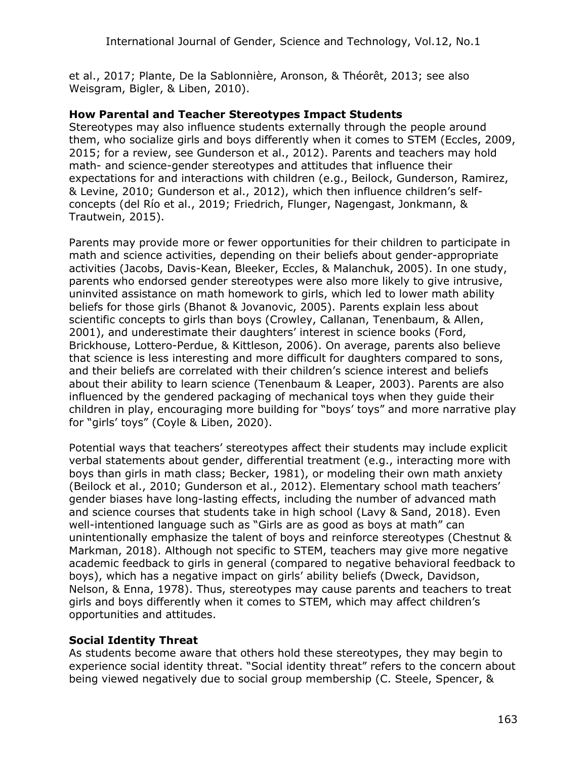et al., 2017; Plante, De la Sablonnière, Aronson, & Théorêt, 2013; see also Weisgram, Bigler, & Liben, 2010).

#### **How Parental and Teacher Stereotypes Impact Students**

Stereotypes may also influence students externally through the people around them, who socialize girls and boys differently when it comes to STEM (Eccles, 2009, 2015; for a review, see Gunderson et al., 2012). Parents and teachers may hold math- and science-gender stereotypes and attitudes that influence their expectations for and interactions with children (e.g., Beilock, Gunderson, Ramirez, & Levine, 2010; Gunderson et al., 2012), which then influence children's selfconcepts (del Río et al., 2019; Friedrich, Flunger, Nagengast, Jonkmann, & Trautwein, 2015).

Parents may provide more or fewer opportunities for their children to participate in math and science activities, depending on their beliefs about gender-appropriate activities (Jacobs, Davis-Kean, Bleeker, Eccles, & Malanchuk, 2005). In one study, parents who endorsed gender stereotypes were also more likely to give intrusive, uninvited assistance on math homework to girls, which led to lower math ability beliefs for those girls (Bhanot & Jovanovic, 2005). Parents explain less about scientific concepts to girls than boys (Crowley, Callanan, Tenenbaum, & Allen, 2001), and underestimate their daughters' interest in science books (Ford, Brickhouse, Lottero-Perdue, & Kittleson, 2006). On average, parents also believe that science is less interesting and more difficult for daughters compared to sons, and their beliefs are correlated with their children's science interest and beliefs about their ability to learn science (Tenenbaum & Leaper, 2003). Parents are also influenced by the gendered packaging of mechanical toys when they guide their children in play, encouraging more building for "boys' toys" and more narrative play for "girls' toys" (Coyle & Liben, 2020).

Potential ways that teachers' stereotypes affect their students may include explicit verbal statements about gender, differential treatment (e.g., interacting more with boys than girls in math class; Becker, 1981), or modeling their own math anxiety (Beilock et al., 2010; Gunderson et al., 2012). Elementary school math teachers' gender biases have long-lasting effects, including the number of advanced math and science courses that students take in high school (Lavy & Sand, 2018). Even well-intentioned language such as "Girls are as good as boys at math" can unintentionally emphasize the talent of boys and reinforce stereotypes (Chestnut & Markman, 2018). Although not specific to STEM, teachers may give more negative academic feedback to girls in general (compared to negative behavioral feedback to boys), which has a negative impact on girls' ability beliefs (Dweck, Davidson, Nelson, & Enna, 1978). Thus, stereotypes may cause parents and teachers to treat girls and boys differently when it comes to STEM, which may affect children's opportunities and attitudes.

#### **Social Identity Threat**

As students become aware that others hold these stereotypes, they may begin to experience social identity threat. "Social identity threat" refers to the concern about being viewed negatively due to social group membership (C. Steele, Spencer, &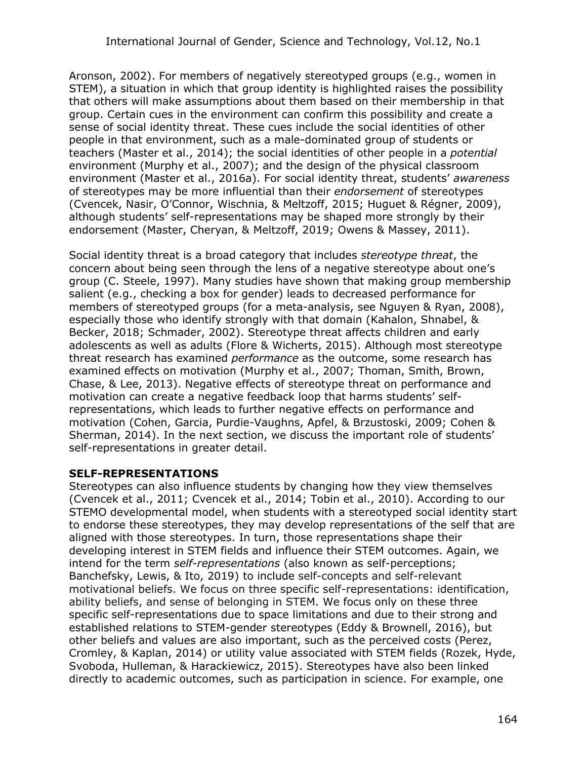Aronson, 2002). For members of negatively stereotyped groups (e.g., women in STEM), a situation in which that group identity is highlighted raises the possibility that others will make assumptions about them based on their membership in that group. Certain cues in the environment can confirm this possibility and create a sense of social identity threat. These cues include the social identities of other people in that environment, such as a male-dominated group of students or teachers (Master et al., 2014); the social identities of other people in a *potential*  environment (Murphy et al., 2007); and the design of the physical classroom environment (Master et al., 2016a). For social identity threat, students' *awareness* of stereotypes may be more influential than their *endorsement* of stereotypes (Cvencek, Nasir, O'Connor, Wischnia, & Meltzoff, 2015; Huguet & Régner, 2009), although students' self-representations may be shaped more strongly by their endorsement (Master, Cheryan, & Meltzoff, 2019; Owens & Massey, 2011).

Social identity threat is a broad category that includes *stereotype threat*, the concern about being seen through the lens of a negative stereotype about one's group (C. Steele, 1997). Many studies have shown that making group membership salient (e.g., checking a box for gender) leads to decreased performance for members of stereotyped groups (for a meta-analysis, see Nguyen & Ryan, 2008), especially those who identify strongly with that domain (Kahalon, Shnabel, & Becker, 2018; Schmader, 2002). Stereotype threat affects children and early adolescents as well as adults (Flore & Wicherts, 2015). Although most stereotype threat research has examined *performance* as the outcome, some research has examined effects on motivation (Murphy et al., 2007; Thoman, Smith, Brown, Chase, & Lee, 2013). Negative effects of stereotype threat on performance and motivation can create a negative feedback loop that harms students' selfrepresentations, which leads to further negative effects on performance and motivation (Cohen, Garcia, Purdie-Vaughns, Apfel, & Brzustoski, 2009; Cohen & Sherman, 2014). In the next section, we discuss the important role of students' self-representations in greater detail.

#### **SELF-REPRESENTATIONS**

Stereotypes can also influence students by changing how they view themselves (Cvencek et al., 2011; Cvencek et al., 2014; Tobin et al., 2010). According to our STEMO developmental model, when students with a stereotyped social identity start to endorse these stereotypes, they may develop representations of the self that are aligned with those stereotypes. In turn, those representations shape their developing interest in STEM fields and influence their STEM outcomes. Again, we intend for the term *self-representations* (also known as self-perceptions; Banchefsky, Lewis, & Ito, 2019) to include self-concepts and self-relevant motivational beliefs. We focus on three specific self-representations: identification, ability beliefs, and sense of belonging in STEM. We focus only on these three specific self-representations due to space limitations and due to their strong and established relations to STEM-gender stereotypes (Eddy & Brownell, 2016), but other beliefs and values are also important, such as the perceived costs (Perez, Cromley, & Kaplan, 2014) or utility value associated with STEM fields (Rozek, Hyde, Svoboda, Hulleman, & Harackiewicz, 2015). Stereotypes have also been linked directly to academic outcomes, such as participation in science. For example, one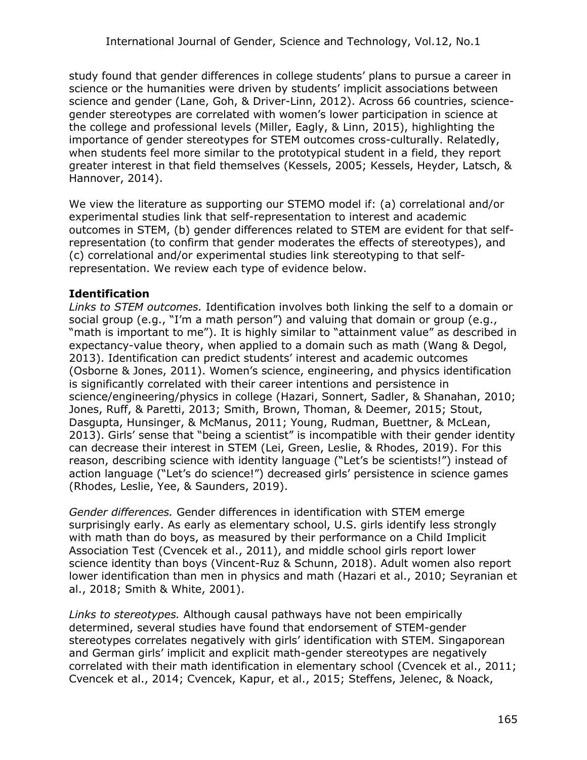study found that gender differences in college students' plans to pursue a career in science or the humanities were driven by students' implicit associations between science and gender (Lane, Goh, & Driver-Linn, 2012). Across 66 countries, sciencegender stereotypes are correlated with women's lower participation in science at the college and professional levels (Miller, Eagly, & Linn, 2015), highlighting the importance of gender stereotypes for STEM outcomes cross-culturally. Relatedly, when students feel more similar to the prototypical student in a field, they report greater interest in that field themselves (Kessels, 2005; Kessels, Heyder, Latsch, & Hannover, 2014).

We view the literature as supporting our STEMO model if: (a) correlational and/or experimental studies link that self-representation to interest and academic outcomes in STEM, (b) gender differences related to STEM are evident for that selfrepresentation (to confirm that gender moderates the effects of stereotypes), and (c) correlational and/or experimental studies link stereotyping to that selfrepresentation. We review each type of evidence below.

#### **Identification**

*Links to STEM outcomes.* Identification involves both linking the self to a domain or social group (e.g., "I'm a math person") and valuing that domain or group (e.g., "math is important to me"). It is highly similar to "attainment value" as described in expectancy-value theory, when applied to a domain such as math (Wang & Degol, 2013). Identification can predict students' interest and academic outcomes (Osborne & Jones, 2011). Women's science, engineering, and physics identification is significantly correlated with their career intentions and persistence in science/engineering/physics in college (Hazari, Sonnert, Sadler, & Shanahan, 2010; Jones, Ruff, & Paretti, 2013; Smith, Brown, Thoman, & Deemer, 2015; Stout, Dasgupta, Hunsinger, & McManus, 2011; Young, Rudman, Buettner, & McLean, 2013). Girls' sense that "being a scientist" is incompatible with their gender identity can decrease their interest in STEM (Lei, Green, Leslie, & Rhodes, 2019). For this reason, describing science with identity language ("Let's be scientists!") instead of action language ("Let's do science!") decreased girls' persistence in science games (Rhodes, Leslie, Yee, & Saunders, 2019).

*Gender differences.* Gender differences in identification with STEM emerge surprisingly early. As early as elementary school, U.S. girls identify less strongly with math than do boys, as measured by their performance on a Child Implicit Association Test (Cvencek et al., 2011), and middle school girls report lower science identity than boys (Vincent-Ruz & Schunn, 2018). Adult women also report lower identification than men in physics and math (Hazari et al., 2010; Seyranian et al., 2018; Smith & White, 2001).

*Links to stereotypes.* Although causal pathways have not been empirically determined, several studies have found that endorsement of STEM-gender stereotypes correlates negatively with girls' identification with STEM. Singaporean and German girls' implicit and explicit math-gender stereotypes are negatively correlated with their math identification in elementary school (Cvencek et al., 2011; Cvencek et al., 2014; Cvencek, Kapur, et al., 2015; Steffens, Jelenec, & Noack,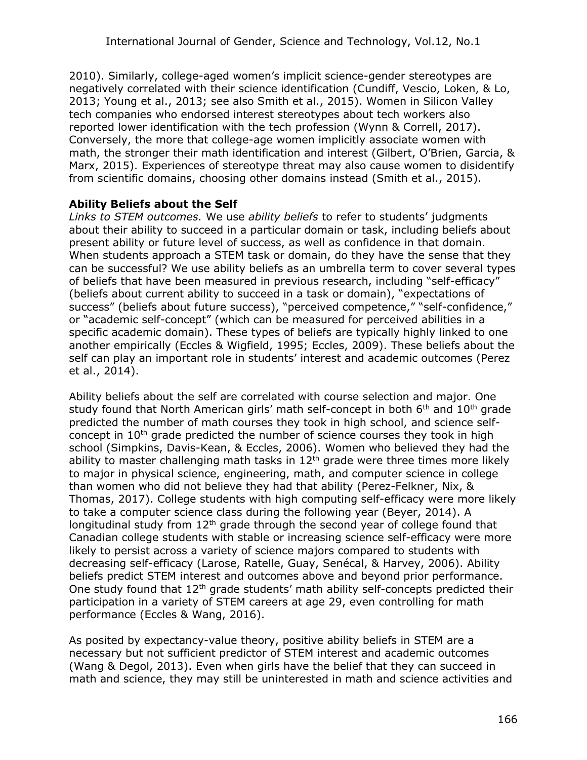2010). Similarly, college-aged women's implicit science-gender stereotypes are negatively correlated with their science identification (Cundiff, Vescio, Loken, & Lo, 2013; Young et al., 2013; see also Smith et al., 2015). Women in Silicon Valley tech companies who endorsed interest stereotypes about tech workers also reported lower identification with the tech profession (Wynn & Correll, 2017). Conversely, the more that college-age women implicitly associate women with math, the stronger their math identification and interest (Gilbert, O'Brien, Garcia, & Marx, 2015). Experiences of stereotype threat may also cause women to disidentify from scientific domains, choosing other domains instead (Smith et al., 2015).

#### **Ability Beliefs about the Self**

*Links to STEM outcomes.* We use *ability beliefs* to refer to students' judgments about their ability to succeed in a particular domain or task, including beliefs about present ability or future level of success, as well as confidence in that domain. When students approach a STEM task or domain, do they have the sense that they can be successful? We use ability beliefs as an umbrella term to cover several types of beliefs that have been measured in previous research, including "self-efficacy" (beliefs about current ability to succeed in a task or domain), "expectations of success" (beliefs about future success), "perceived competence," "self-confidence," or "academic self-concept" (which can be measured for perceived abilities in a specific academic domain). These types of beliefs are typically highly linked to one another empirically (Eccles & Wigfield, 1995; Eccles, 2009). These beliefs about the self can play an important role in students' interest and academic outcomes (Perez et al., 2014).

Ability beliefs about the self are correlated with course selection and major. One study found that North American girls' math self-concept in both  $6<sup>th</sup>$  and  $10<sup>th</sup>$  grade predicted the number of math courses they took in high school, and science selfconcept in 10<sup>th</sup> grade predicted the number of science courses they took in high school (Simpkins, Davis-Kean, & Eccles, 2006). Women who believed they had the ability to master challenging math tasks in  $12<sup>th</sup>$  grade were three times more likely to major in physical science, engineering, math, and computer science in college than women who did not believe they had that ability (Perez-Felkner, Nix, & Thomas, 2017). College students with high computing self-efficacy were more likely to take a computer science class during the following year (Beyer, 2014). A longitudinal study from 12<sup>th</sup> grade through the second year of college found that Canadian college students with stable or increasing science self-efficacy were more likely to persist across a variety of science majors compared to students with decreasing self-efficacy (Larose, Ratelle, Guay, Senécal, & Harvey, 2006). Ability beliefs predict STEM interest and outcomes above and beyond prior performance. One study found that 12<sup>th</sup> grade students' math ability self-concepts predicted their participation in a variety of STEM careers at age 29, even controlling for math performance (Eccles & Wang, 2016).

As posited by expectancy-value theory, positive ability beliefs in STEM are a necessary but not sufficient predictor of STEM interest and academic outcomes (Wang & Degol, 2013). Even when girls have the belief that they can succeed in math and science, they may still be uninterested in math and science activities and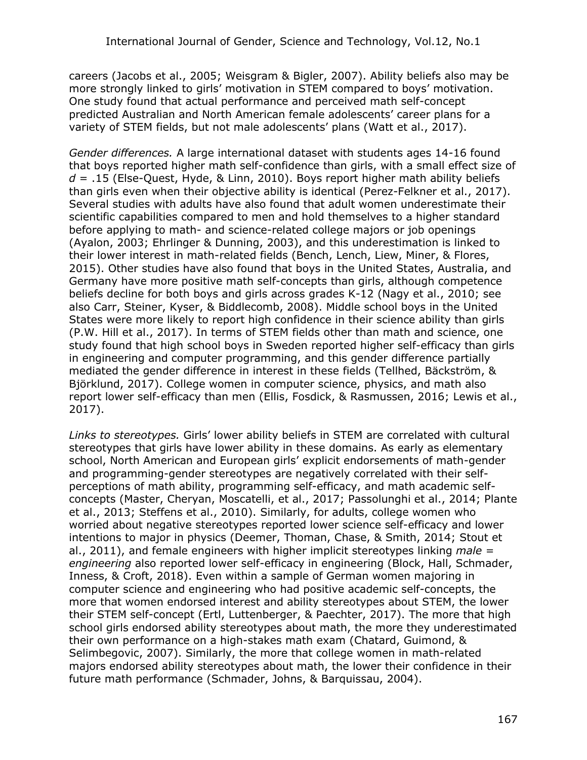careers (Jacobs et al., 2005; Weisgram & Bigler, 2007). Ability beliefs also may be more strongly linked to girls' motivation in STEM compared to boys' motivation. One study found that actual performance and perceived math self-concept predicted Australian and North American female adolescents' career plans for a variety of STEM fields, but not male adolescents' plans (Watt et al., 2017).

*Gender differences.* A large international dataset with students ages 14-16 found that boys reported higher math self-confidence than girls, with a small effect size of *d* = .15 (Else-Quest, Hyde, & Linn, 2010). Boys report higher math ability beliefs than girls even when their objective ability is identical (Perez-Felkner et al., 2017). Several studies with adults have also found that adult women underestimate their scientific capabilities compared to men and hold themselves to a higher standard before applying to math- and science-related college majors or job openings (Ayalon, 2003; Ehrlinger & Dunning, 2003), and this underestimation is linked to their lower interest in math-related fields (Bench, Lench, Liew, Miner, & Flores, 2015). Other studies have also found that boys in the United States, Australia, and Germany have more positive math self-concepts than girls, although competence beliefs decline for both boys and girls across grades K-12 (Nagy et al., 2010; see also Carr, Steiner, Kyser, & Biddlecomb, 2008). Middle school boys in the United States were more likely to report high confidence in their science ability than girls (P.W. Hill et al., 2017). In terms of STEM fields other than math and science, one study found that high school boys in Sweden reported higher self-efficacy than girls in engineering and computer programming, and this gender difference partially mediated the gender difference in interest in these fields (Tellhed, Bäckström, & Björklund, 2017). College women in computer science, physics, and math also report lower self-efficacy than men (Ellis, Fosdick, & Rasmussen, 2016; Lewis et al., 2017).

*Links to stereotypes.* Girls' lower ability beliefs in STEM are correlated with cultural stereotypes that girls have lower ability in these domains. As early as elementary school, North American and European girls' explicit endorsements of math-gender and programming-gender stereotypes are negatively correlated with their selfperceptions of math ability, programming self-efficacy, and math academic selfconcepts (Master, Cheryan, Moscatelli, et al., 2017; Passolunghi et al., 2014; Plante et al., 2013; Steffens et al., 2010). Similarly, for adults, college women who worried about negative stereotypes reported lower science self-efficacy and lower intentions to major in physics (Deemer, Thoman, Chase, & Smith, 2014; Stout et al., 2011), and female engineers with higher implicit stereotypes linking *male* = *engineering* also reported lower self-efficacy in engineering (Block, Hall, Schmader, Inness, & Croft, 2018). Even within a sample of German women majoring in computer science and engineering who had positive academic self-concepts, the more that women endorsed interest and ability stereotypes about STEM, the lower their STEM self-concept (Ertl, Luttenberger, & Paechter, 2017). The more that high school girls endorsed ability stereotypes about math, the more they underestimated their own performance on a high-stakes math exam (Chatard, Guimond, & Selimbegovic, 2007). Similarly, the more that college women in math-related majors endorsed ability stereotypes about math, the lower their confidence in their future math performance (Schmader, Johns, & Barquissau, 2004).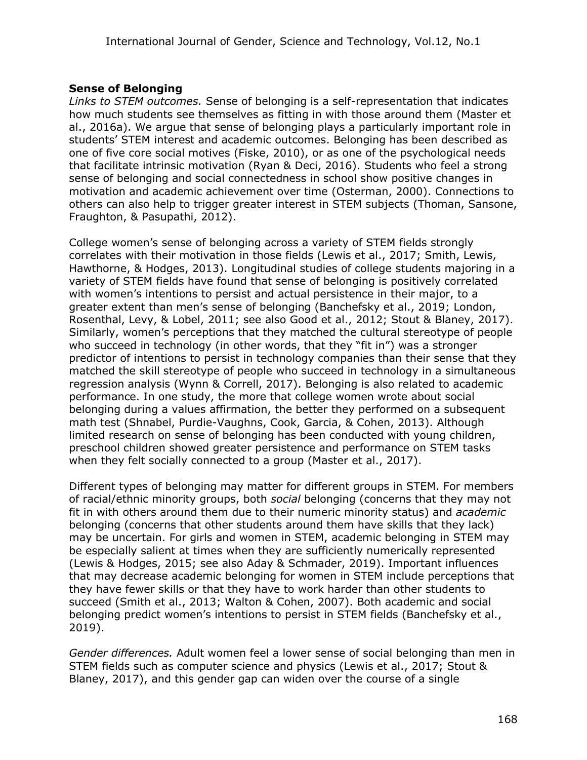#### **Sense of Belonging**

*Links to STEM outcomes.* Sense of belonging is a self-representation that indicates how much students see themselves as fitting in with those around them (Master et al., 2016a). We argue that sense of belonging plays a particularly important role in students' STEM interest and academic outcomes. Belonging has been described as one of five core social motives (Fiske, 2010), or as one of the psychological needs that facilitate intrinsic motivation (Ryan & Deci, 2016). Students who feel a strong sense of belonging and social connectedness in school show positive changes in motivation and academic achievement over time (Osterman, 2000). Connections to others can also help to trigger greater interest in STEM subjects (Thoman, Sansone, Fraughton, & Pasupathi, 2012).

College women's sense of belonging across a variety of STEM fields strongly correlates with their motivation in those fields (Lewis et al., 2017; Smith, Lewis, Hawthorne, & Hodges, 2013). Longitudinal studies of college students majoring in a variety of STEM fields have found that sense of belonging is positively correlated with women's intentions to persist and actual persistence in their major, to a greater extent than men's sense of belonging (Banchefsky et al., 2019; London, Rosenthal, Levy, & Lobel, 2011; see also Good et al., 2012; Stout & Blaney, 2017). Similarly, women's perceptions that they matched the cultural stereotype of people who succeed in technology (in other words, that they "fit in") was a stronger predictor of intentions to persist in technology companies than their sense that they matched the skill stereotype of people who succeed in technology in a simultaneous regression analysis (Wynn & Correll, 2017). Belonging is also related to academic performance. In one study, the more that college women wrote about social belonging during a values affirmation, the better they performed on a subsequent math test (Shnabel, Purdie-Vaughns, Cook, Garcia, & Cohen, 2013). Although limited research on sense of belonging has been conducted with young children, preschool children showed greater persistence and performance on STEM tasks when they felt socially connected to a group (Master et al., 2017).

Different types of belonging may matter for different groups in STEM. For members of racial/ethnic minority groups, both *social* belonging (concerns that they may not fit in with others around them due to their numeric minority status) and *academic* belonging (concerns that other students around them have skills that they lack) may be uncertain. For girls and women in STEM, academic belonging in STEM may be especially salient at times when they are sufficiently numerically represented (Lewis & Hodges, 2015; see also Aday & Schmader, 2019). Important influences that may decrease academic belonging for women in STEM include perceptions that they have fewer skills or that they have to work harder than other students to succeed (Smith et al., 2013; Walton & Cohen, 2007). Both academic and social belonging predict women's intentions to persist in STEM fields (Banchefsky et al., 2019).

*Gender differences.* Adult women feel a lower sense of social belonging than men in STEM fields such as computer science and physics (Lewis et al., 2017; Stout & Blaney, 2017), and this gender gap can widen over the course of a single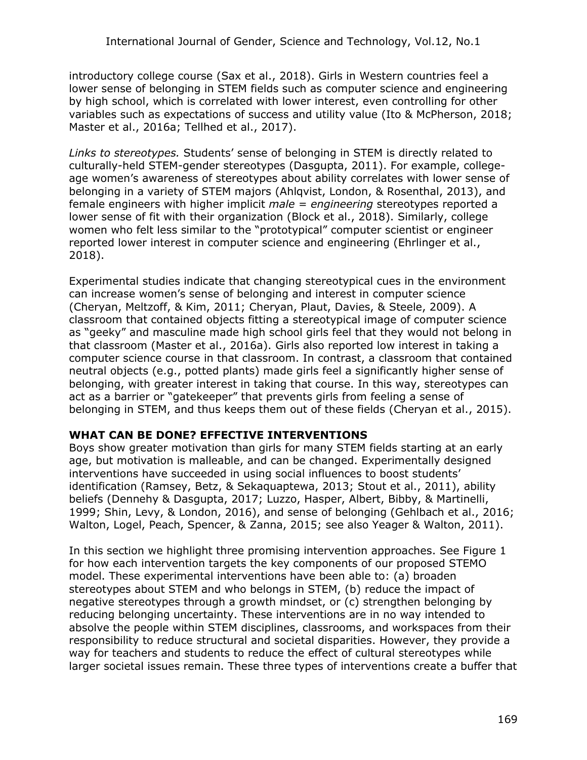introductory college course (Sax et al., 2018). Girls in Western countries feel a lower sense of belonging in STEM fields such as computer science and engineering by high school, which is correlated with lower interest, even controlling for other variables such as expectations of success and utility value (Ito & McPherson, 2018; Master et al., 2016a; Tellhed et al., 2017).

*Links to stereotypes.* Students' sense of belonging in STEM is directly related to culturally-held STEM-gender stereotypes (Dasgupta, 2011). For example, collegeage women's awareness of stereotypes about ability correlates with lower sense of belonging in a variety of STEM majors (Ahlqvist, London, & Rosenthal, 2013), and female engineers with higher implicit *male* = *engineering* stereotypes reported a lower sense of fit with their organization (Block et al., 2018). Similarly, college women who felt less similar to the "prototypical" computer scientist or engineer reported lower interest in computer science and engineering (Ehrlinger et al., 2018).

Experimental studies indicate that changing stereotypical cues in the environment can increase women's sense of belonging and interest in computer science (Cheryan, Meltzoff, & Kim, 2011; Cheryan, Plaut, Davies, & Steele, 2009). A classroom that contained objects fitting a stereotypical image of computer science as "geeky" and masculine made high school girls feel that they would not belong in that classroom (Master et al., 2016a). Girls also reported low interest in taking a computer science course in that classroom. In contrast, a classroom that contained neutral objects (e.g., potted plants) made girls feel a significantly higher sense of belonging, with greater interest in taking that course. In this way, stereotypes can act as a barrier or "gatekeeper" that prevents girls from feeling a sense of belonging in STEM, and thus keeps them out of these fields (Cheryan et al., 2015).

#### **WHAT CAN BE DONE? EFFECTIVE INTERVENTIONS**

Boys show greater motivation than girls for many STEM fields starting at an early age, but motivation is malleable, and can be changed. Experimentally designed interventions have succeeded in using social influences to boost students' identification (Ramsey, Betz, & Sekaquaptewa, 2013; Stout et al., 2011), ability beliefs (Dennehy & Dasgupta, 2017; Luzzo, Hasper, Albert, Bibby, & Martinelli, 1999; Shin, Levy, & London, 2016), and sense of belonging (Gehlbach et al., 2016; Walton, Logel, Peach, Spencer, & Zanna, 2015; see also Yeager & Walton, 2011).

In this section we highlight three promising intervention approaches. See Figure 1 for how each intervention targets the key components of our proposed STEMO model. These experimental interventions have been able to: (a) broaden stereotypes about STEM and who belongs in STEM, (b) reduce the impact of negative stereotypes through a growth mindset, or (c) strengthen belonging by reducing belonging uncertainty. These interventions are in no way intended to absolve the people within STEM disciplines, classrooms, and workspaces from their responsibility to reduce structural and societal disparities. However, they provide a way for teachers and students to reduce the effect of cultural stereotypes while larger societal issues remain. These three types of interventions create a buffer that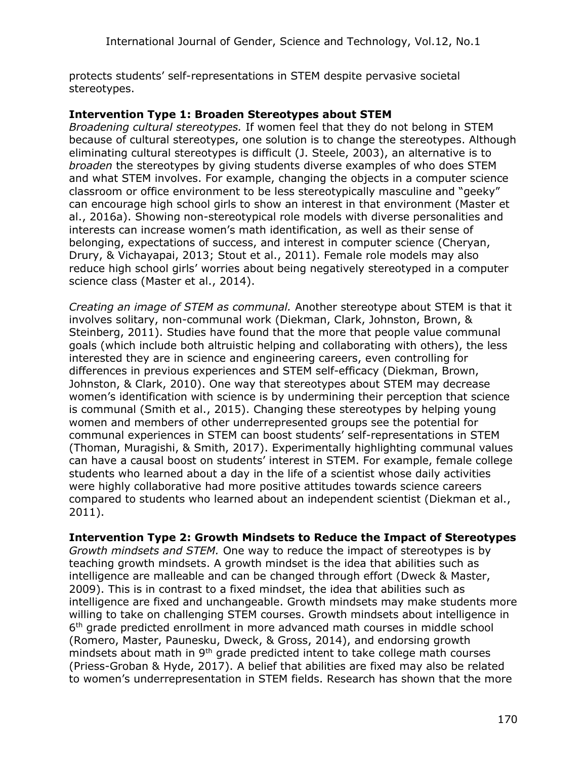protects students' self-representations in STEM despite pervasive societal stereotypes.

#### **Intervention Type 1: Broaden Stereotypes about STEM**

*Broadening cultural stereotypes.* If women feel that they do not belong in STEM because of cultural stereotypes, one solution is to change the stereotypes. Although eliminating cultural stereotypes is difficult (J. Steele, 2003), an alternative is to *broaden* the stereotypes by giving students diverse examples of who does STEM and what STEM involves. For example, changing the objects in a computer science classroom or office environment to be less stereotypically masculine and "geeky" can encourage high school girls to show an interest in that environment (Master et al., 2016a). Showing non-stereotypical role models with diverse personalities and interests can increase women's math identification, as well as their sense of belonging, expectations of success, and interest in computer science (Cheryan, Drury, & Vichayapai, 2013; Stout et al., 2011). Female role models may also reduce high school girls' worries about being negatively stereotyped in a computer science class (Master et al., 2014).

*Creating an image of STEM as communal.* Another stereotype about STEM is that it involves solitary, non-communal work (Diekman, Clark, Johnston, Brown, & Steinberg, 2011). Studies have found that the more that people value communal goals (which include both altruistic helping and collaborating with others), the less interested they are in science and engineering careers, even controlling for differences in previous experiences and STEM self-efficacy (Diekman, Brown, Johnston, & Clark, 2010). One way that stereotypes about STEM may decrease women's identification with science is by undermining their perception that science is communal (Smith et al., 2015). Changing these stereotypes by helping young women and members of other underrepresented groups see the potential for communal experiences in STEM can boost students' self-representations in STEM (Thoman, Muragishi, & Smith, 2017). Experimentally highlighting communal values can have a causal boost on students' interest in STEM. For example, female college students who learned about a day in the life of a scientist whose daily activities were highly collaborative had more positive attitudes towards science careers compared to students who learned about an independent scientist (Diekman et al., 2011).

**Intervention Type 2: Growth Mindsets to Reduce the Impact of Stereotypes** *Growth mindsets and STEM.* One way to reduce the impact of stereotypes is by teaching growth mindsets. A growth mindset is the idea that abilities such as intelligence are malleable and can be changed through effort (Dweck & Master, 2009). This is in contrast to a fixed mindset, the idea that abilities such as intelligence are fixed and unchangeable. Growth mindsets may make students more willing to take on challenging STEM courses. Growth mindsets about intelligence in 6<sup>th</sup> grade predicted enrollment in more advanced math courses in middle school (Romero, Master, Paunesku, Dweck, & Gross, 2014), and endorsing growth mindsets about math in 9<sup>th</sup> grade predicted intent to take college math courses (Priess-Groban & Hyde, 2017). A belief that abilities are fixed may also be related to women's underrepresentation in STEM fields. Research has shown that the more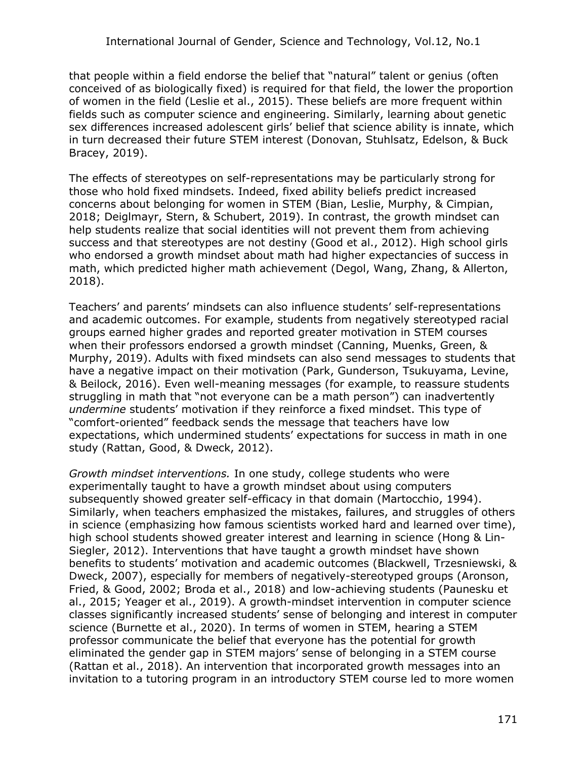that people within a field endorse the belief that "natural" talent or genius (often conceived of as biologically fixed) is required for that field, the lower the proportion of women in the field (Leslie et al., 2015). These beliefs are more frequent within fields such as computer science and engineering. Similarly, learning about genetic sex differences increased adolescent girls' belief that science ability is innate, which in turn decreased their future STEM interest (Donovan, Stuhlsatz, Edelson, & Buck Bracey, 2019).

The effects of stereotypes on self-representations may be particularly strong for those who hold fixed mindsets. Indeed, fixed ability beliefs predict increased concerns about belonging for women in STEM (Bian, Leslie, Murphy, & Cimpian, 2018; Deiglmayr, Stern, & Schubert, 2019). In contrast, the growth mindset can help students realize that social identities will not prevent them from achieving success and that stereotypes are not destiny (Good et al., 2012). High school girls who endorsed a growth mindset about math had higher expectancies of success in math, which predicted higher math achievement (Degol, Wang, Zhang, & Allerton, 2018).

Teachers' and parents' mindsets can also influence students' self-representations and academic outcomes. For example, students from negatively stereotyped racial groups earned higher grades and reported greater motivation in STEM courses when their professors endorsed a growth mindset (Canning, Muenks, Green, & Murphy, 2019). Adults with fixed mindsets can also send messages to students that have a negative impact on their motivation (Park, Gunderson, Tsukuyama, Levine, & Beilock, 2016). Even well-meaning messages (for example, to reassure students struggling in math that "not everyone can be a math person") can inadvertently *undermine* students' motivation if they reinforce a fixed mindset. This type of "comfort-oriented" feedback sends the message that teachers have low expectations, which undermined students' expectations for success in math in one study (Rattan, Good, & Dweck, 2012).

*Growth mindset interventions.* In one study, college students who were experimentally taught to have a growth mindset about using computers subsequently showed greater self-efficacy in that domain (Martocchio, 1994). Similarly, when teachers emphasized the mistakes, failures, and struggles of others in science (emphasizing how famous scientists worked hard and learned over time), high school students showed greater interest and learning in science (Hong & Lin-Siegler, 2012). Interventions that have taught a growth mindset have shown benefits to students' motivation and academic outcomes (Blackwell, Trzesniewski, & Dweck, 2007), especially for members of negatively-stereotyped groups (Aronson, Fried, & Good, 2002; Broda et al., 2018) and low-achieving students (Paunesku et al., 2015; Yeager et al., 2019). A growth-mindset intervention in computer science classes significantly increased students' sense of belonging and interest in computer science (Burnette et al., 2020). In terms of women in STEM, hearing a STEM professor communicate the belief that everyone has the potential for growth eliminated the gender gap in STEM majors' sense of belonging in a STEM course (Rattan et al., 2018). An intervention that incorporated growth messages into an invitation to a tutoring program in an introductory STEM course led to more women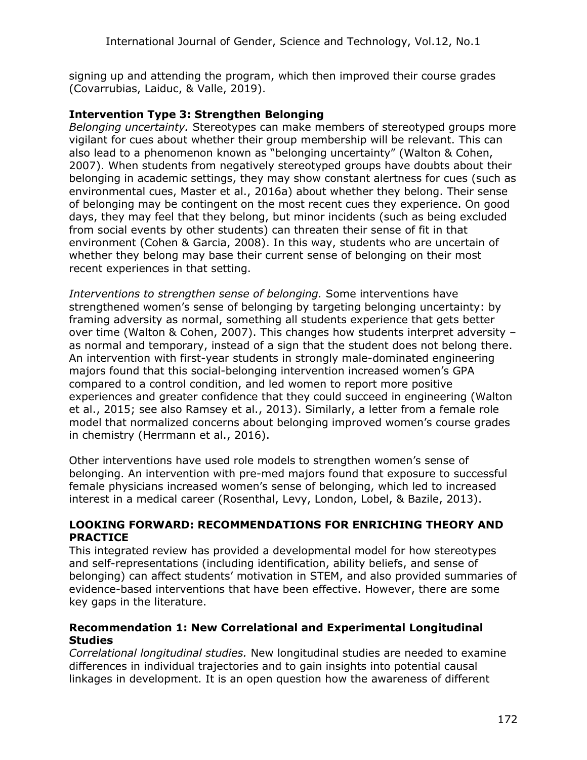signing up and attending the program, which then improved their course grades (Covarrubias, Laiduc, & Valle, 2019).

#### **Intervention Type 3: Strengthen Belonging**

*Belonging uncertainty.* Stereotypes can make members of stereotyped groups more vigilant for cues about whether their group membership will be relevant. This can also lead to a phenomenon known as "belonging uncertainty" (Walton & Cohen, 2007). When students from negatively stereotyped groups have doubts about their belonging in academic settings, they may show constant alertness for cues (such as environmental cues, Master et al., 2016a) about whether they belong. Their sense of belonging may be contingent on the most recent cues they experience. On good days, they may feel that they belong, but minor incidents (such as being excluded from social events by other students) can threaten their sense of fit in that environment (Cohen & Garcia, 2008). In this way, students who are uncertain of whether they belong may base their current sense of belonging on their most recent experiences in that setting.

*Interventions to strengthen sense of belonging.* Some interventions have strengthened women's sense of belonging by targeting belonging uncertainty: by framing adversity as normal, something all students experience that gets better over time (Walton & Cohen, 2007). This changes how students interpret adversity – as normal and temporary, instead of a sign that the student does not belong there. An intervention with first-year students in strongly male-dominated engineering majors found that this social-belonging intervention increased women's GPA compared to a control condition, and led women to report more positive experiences and greater confidence that they could succeed in engineering (Walton et al., 2015; see also Ramsey et al., 2013). Similarly, a letter from a female role model that normalized concerns about belonging improved women's course grades in chemistry (Herrmann et al., 2016).

Other interventions have used role models to strengthen women's sense of belonging. An intervention with pre-med majors found that exposure to successful female physicians increased women's sense of belonging, which led to increased interest in a medical career (Rosenthal, Levy, London, Lobel, & Bazile, 2013).

#### **LOOKING FORWARD: RECOMMENDATIONS FOR ENRICHING THEORY AND PRACTICE**

This integrated review has provided a developmental model for how stereotypes and self-representations (including identification, ability beliefs, and sense of belonging) can affect students' motivation in STEM, and also provided summaries of evidence-based interventions that have been effective. However, there are some key gaps in the literature.

#### **Recommendation 1: New Correlational and Experimental Longitudinal Studies**

*Correlational longitudinal studies.* New longitudinal studies are needed to examine differences in individual trajectories and to gain insights into potential causal linkages in development. It is an open question how the awareness of different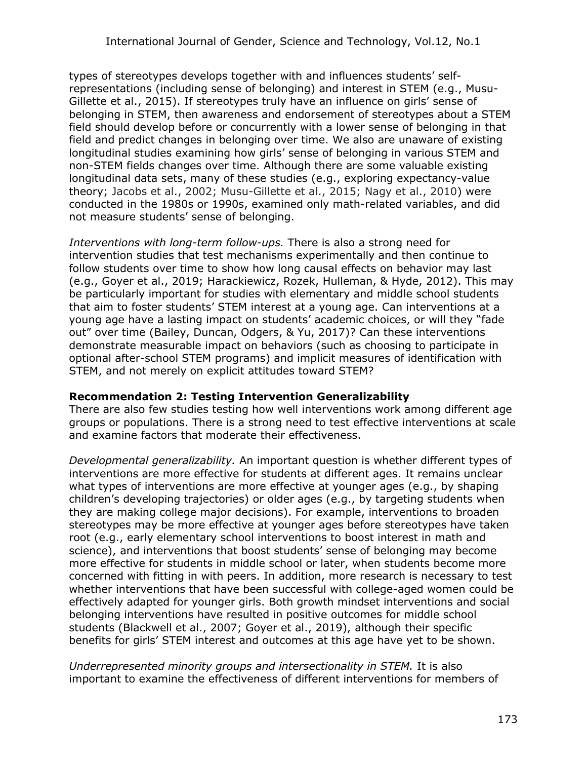types of stereotypes develops together with and influences students' selfrepresentations (including sense of belonging) and interest in STEM (e.g., Musu-Gillette et al., 2015). If stereotypes truly have an influence on girls' sense of belonging in STEM, then awareness and endorsement of stereotypes about a STEM field should develop before or concurrently with a lower sense of belonging in that field and predict changes in belonging over time. We also are unaware of existing longitudinal studies examining how girls' sense of belonging in various STEM and non-STEM fields changes over time. Although there are some valuable existing longitudinal data sets, many of these studies (e.g., exploring expectancy-value theory; Jacobs et al., 2002; Musu-Gillette et al., 2015; Nagy et al., 2010) were conducted in the 1980s or 1990s, examined only math-related variables, and did not measure students' sense of belonging.

*Interventions with long-term follow-ups.* There is also a strong need for intervention studies that test mechanisms experimentally and then continue to follow students over time to show how long causal effects on behavior may last (e.g., Goyer et al., 2019; Harackiewicz, Rozek, Hulleman, & Hyde, 2012). This may be particularly important for studies with elementary and middle school students that aim to foster students' STEM interest at a young age. Can interventions at a young age have a lasting impact on students' academic choices, or will they "fade out" over time (Bailey, Duncan, Odgers, & Yu, 2017)? Can these interventions demonstrate measurable impact on behaviors (such as choosing to participate in optional after-school STEM programs) and implicit measures of identification with STEM, and not merely on explicit attitudes toward STEM?

#### **Recommendation 2: Testing Intervention Generalizability**

There are also few studies testing how well interventions work among different age groups or populations. There is a strong need to test effective interventions at scale and examine factors that moderate their effectiveness.

*Developmental generalizability.* An important question is whether different types of interventions are more effective for students at different ages. It remains unclear what types of interventions are more effective at younger ages (e.g., by shaping children's developing trajectories) or older ages (e.g., by targeting students when they are making college major decisions). For example, interventions to broaden stereotypes may be more effective at younger ages before stereotypes have taken root (e.g., early elementary school interventions to boost interest in math and science), and interventions that boost students' sense of belonging may become more effective for students in middle school or later, when students become more concerned with fitting in with peers. In addition, more research is necessary to test whether interventions that have been successful with college-aged women could be effectively adapted for younger girls. Both growth mindset interventions and social belonging interventions have resulted in positive outcomes for middle school students (Blackwell et al., 2007; Goyer et al., 2019), although their specific benefits for girls' STEM interest and outcomes at this age have yet to be shown.

*Underrepresented minority groups and intersectionality in STEM.* It is also important to examine the effectiveness of different interventions for members of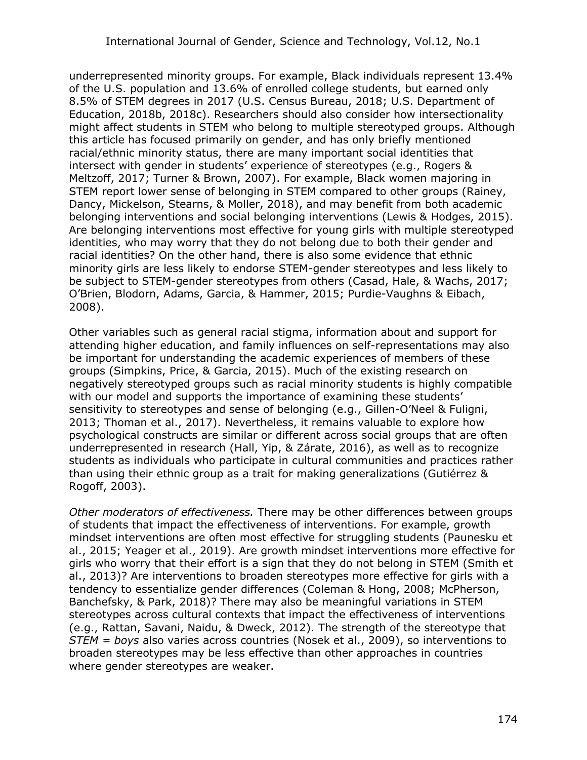underrepresented minority groups. For example, Black individuals represent 13.4% of the U.S. population and 13.6% of enrolled college students, but earned only 8.5% of STEM degrees in 2017 (U.S. Census Bureau, 2018; U.S. Department of Education, 2018b, 2018c). Researchers should also consider how intersectionality might affect students in STEM who belong to multiple stereotyped groups. Although this article has focused primarily on gender, and has only briefly mentioned racial/ethnic minority status, there are many important social identities that intersect with gender in students' experience of stereotypes (e.g., Rogers & Meltzoff, 2017; Turner & Brown, 2007). For example, Black women majoring in STEM report lower sense of belonging in STEM compared to other groups (Rainey, Dancy, Mickelson, Stearns, & Moller, 2018), and may benefit from both academic belonging interventions and social belonging interventions (Lewis & Hodges, 2015). Are belonging interventions most effective for young girls with multiple stereotyped identities, who may worry that they do not belong due to both their gender and racial identities? On the other hand, there is also some evidence that ethnic minority girls are less likely to endorse STEM-gender stereotypes and less likely to be subject to STEM-gender stereotypes from others (Casad, Hale, & Wachs, 2017; O'Brien, Blodorn, Adams, Garcia, & Hammer, 2015; Purdie-Vaughns & Eibach, 2008).

Other variables such as general racial stigma, information about and support for attending higher education, and family influences on self-representations may also be important for understanding the academic experiences of members of these groups (Simpkins, Price, & Garcia, 2015). Much of the existing research on negatively stereotyped groups such as racial minority students is highly compatible with our model and supports the importance of examining these students' sensitivity to stereotypes and sense of belonging (e.g., Gillen-O'Neel & Fuligni, 2013; Thoman et al., 2017). Nevertheless, it remains valuable to explore how psychological constructs are similar or different across social groups that are often underrepresented in research (Hall, Yip, & Zárate, 2016), as well as to recognize students as individuals who participate in cultural communities and practices rather than using their ethnic group as a trait for making generalizations (Gutiérrez & Rogoff, 2003).

*Other moderators of effectiveness.* There may be other differences between groups of students that impact the effectiveness of interventions. For example, growth mindset interventions are often most effective for struggling students (Paunesku et al., 2015; Yeager et al., 2019). Are growth mindset interventions more effective for girls who worry that their effort is a sign that they do not belong in STEM (Smith et al., 2013)? Are interventions to broaden stereotypes more effective for girls with a tendency to essentialize gender differences (Coleman & Hong, 2008; McPherson, Banchefsky, & Park, 2018)? There may also be meaningful variations in STEM stereotypes across cultural contexts that impact the effectiveness of interventions (e.g., Rattan, Savani, Naidu, & Dweck, 2012). The strength of the stereotype that *STEM = boys* also varies across countries (Nosek et al., 2009), so interventions to broaden stereotypes may be less effective than other approaches in countries where gender stereotypes are weaker.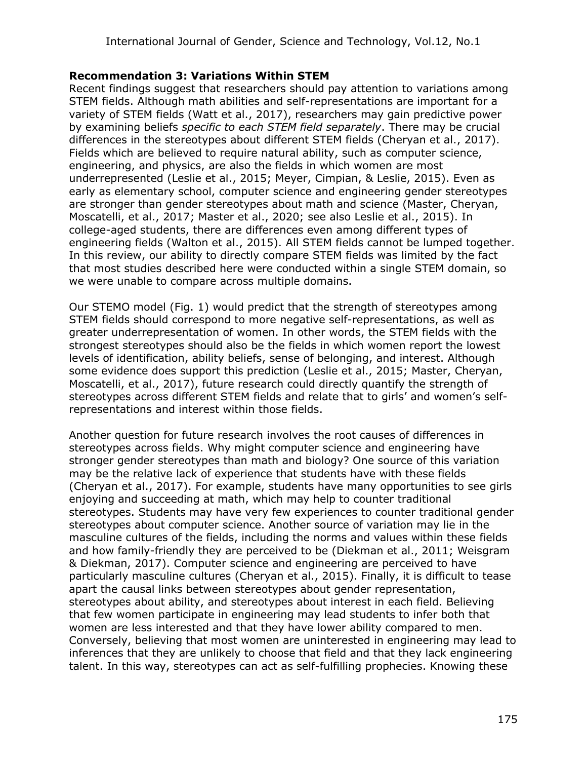#### **Recommendation 3: Variations Within STEM**

Recent findings suggest that researchers should pay attention to variations among STEM fields. Although math abilities and self-representations are important for a variety of STEM fields (Watt et al., 2017), researchers may gain predictive power by examining beliefs *specific to each STEM field separately*. There may be crucial differences in the stereotypes about different STEM fields (Cheryan et al., 2017). Fields which are believed to require natural ability, such as computer science, engineering, and physics, are also the fields in which women are most underrepresented (Leslie et al., 2015; Meyer, Cimpian, & Leslie, 2015). Even as early as elementary school, computer science and engineering gender stereotypes are stronger than gender stereotypes about math and science (Master, Cheryan, Moscatelli, et al., 2017; Master et al., 2020; see also Leslie et al., 2015). In college-aged students, there are differences even among different types of engineering fields (Walton et al., 2015). All STEM fields cannot be lumped together. In this review, our ability to directly compare STEM fields was limited by the fact that most studies described here were conducted within a single STEM domain, so we were unable to compare across multiple domains.

Our STEMO model (Fig. 1) would predict that the strength of stereotypes among STEM fields should correspond to more negative self-representations, as well as greater underrepresentation of women. In other words, the STEM fields with the strongest stereotypes should also be the fields in which women report the lowest levels of identification, ability beliefs, sense of belonging, and interest. Although some evidence does support this prediction (Leslie et al., 2015; Master, Cheryan, Moscatelli, et al., 2017), future research could directly quantify the strength of stereotypes across different STEM fields and relate that to girls' and women's selfrepresentations and interest within those fields.

Another question for future research involves the root causes of differences in stereotypes across fields. Why might computer science and engineering have stronger gender stereotypes than math and biology? One source of this variation may be the relative lack of experience that students have with these fields (Cheryan et al., 2017). For example, students have many opportunities to see girls enjoying and succeeding at math, which may help to counter traditional stereotypes. Students may have very few experiences to counter traditional gender stereotypes about computer science. Another source of variation may lie in the masculine cultures of the fields, including the norms and values within these fields and how family-friendly they are perceived to be (Diekman et al., 2011; Weisgram & Diekman, 2017). Computer science and engineering are perceived to have particularly masculine cultures (Cheryan et al., 2015). Finally, it is difficult to tease apart the causal links between stereotypes about gender representation, stereotypes about ability, and stereotypes about interest in each field. Believing that few women participate in engineering may lead students to infer both that women are less interested and that they have lower ability compared to men. Conversely, believing that most women are uninterested in engineering may lead to inferences that they are unlikely to choose that field and that they lack engineering talent. In this way, stereotypes can act as self-fulfilling prophecies. Knowing these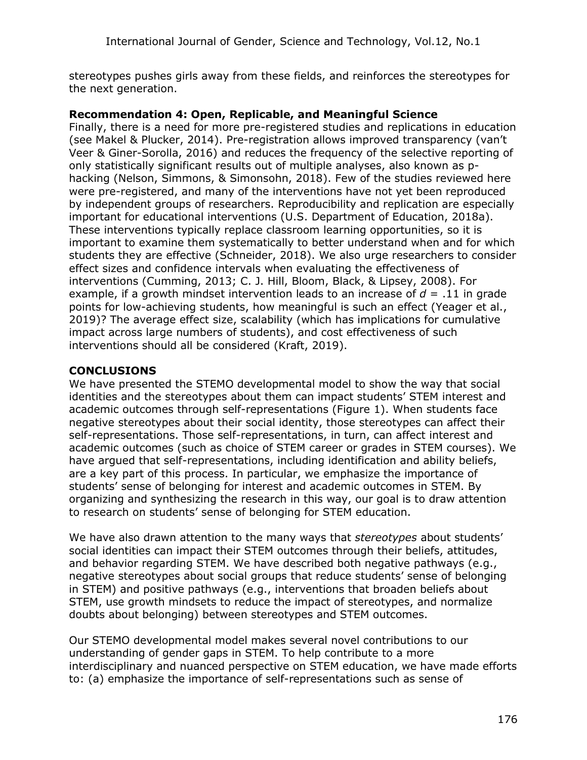stereotypes pushes girls away from these fields, and reinforces the stereotypes for the next generation.

#### **Recommendation 4: Open, Replicable, and Meaningful Science**

Finally, there is a need for more pre-registered studies and replications in education (see Makel & Plucker, 2014). Pre-registration allows improved transparency (van't Veer & Giner-Sorolla, 2016) and reduces the frequency of the selective reporting of only statistically significant results out of multiple analyses, also known as phacking (Nelson, Simmons, & Simonsohn, 2018). Few of the studies reviewed here were pre-registered, and many of the interventions have not yet been reproduced by independent groups of researchers. Reproducibility and replication are especially important for educational interventions (U.S. Department of Education, 2018a). These interventions typically replace classroom learning opportunities, so it is important to examine them systematically to better understand when and for which students they are effective (Schneider, 2018). We also urge researchers to consider effect sizes and confidence intervals when evaluating the effectiveness of interventions (Cumming, 2013; C. J. Hill, Bloom, Black, & Lipsey, 2008). For example, if a growth mindset intervention leads to an increase of  $d = .11$  in grade points for low-achieving students, how meaningful is such an effect (Yeager et al., 2019)? The average effect size, scalability (which has implications for cumulative impact across large numbers of students), and cost effectiveness of such interventions should all be considered (Kraft, 2019).

#### **CONCLUSIONS**

We have presented the STEMO developmental model to show the way that social identities and the stereotypes about them can impact students' STEM interest and academic outcomes through self-representations (Figure 1). When students face negative stereotypes about their social identity, those stereotypes can affect their self-representations. Those self-representations, in turn, can affect interest and academic outcomes (such as choice of STEM career or grades in STEM courses). We have argued that self-representations, including identification and ability beliefs, are a key part of this process. In particular, we emphasize the importance of students' sense of belonging for interest and academic outcomes in STEM. By organizing and synthesizing the research in this way, our goal is to draw attention to research on students' sense of belonging for STEM education.

We have also drawn attention to the many ways that *stereotypes* about students' social identities can impact their STEM outcomes through their beliefs, attitudes, and behavior regarding STEM. We have described both negative pathways (e.g., negative stereotypes about social groups that reduce students' sense of belonging in STEM) and positive pathways (e.g., interventions that broaden beliefs about STEM, use growth mindsets to reduce the impact of stereotypes, and normalize doubts about belonging) between stereotypes and STEM outcomes.

Our STEMO developmental model makes several novel contributions to our understanding of gender gaps in STEM. To help contribute to a more interdisciplinary and nuanced perspective on STEM education, we have made efforts to: (a) emphasize the importance of self-representations such as sense of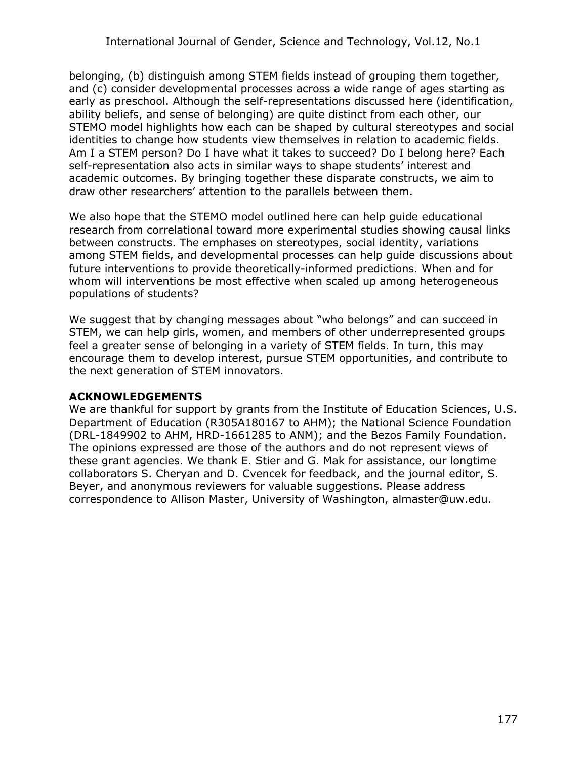belonging, (b) distinguish among STEM fields instead of grouping them together, and (c) consider developmental processes across a wide range of ages starting as early as preschool. Although the self-representations discussed here (identification, ability beliefs, and sense of belonging) are quite distinct from each other, our STEMO model highlights how each can be shaped by cultural stereotypes and social identities to change how students view themselves in relation to academic fields. Am I a STEM person? Do I have what it takes to succeed? Do I belong here? Each self-representation also acts in similar ways to shape students' interest and academic outcomes. By bringing together these disparate constructs, we aim to draw other researchers' attention to the parallels between them.

We also hope that the STEMO model outlined here can help guide educational research from correlational toward more experimental studies showing causal links between constructs. The emphases on stereotypes, social identity, variations among STEM fields, and developmental processes can help guide discussions about future interventions to provide theoretically-informed predictions. When and for whom will interventions be most effective when scaled up among heterogeneous populations of students?

We suggest that by changing messages about "who belongs" and can succeed in STEM, we can help girls, women, and members of other underrepresented groups feel a greater sense of belonging in a variety of STEM fields. In turn, this may encourage them to develop interest, pursue STEM opportunities, and contribute to the next generation of STEM innovators.

#### **ACKNOWLEDGEMENTS**

We are thankful for support by grants from the Institute of Education Sciences, U.S. Department of Education (R305A180167 to AHM); the National Science Foundation (DRL-1849902 to AHM, HRD-1661285 to ANM); and the Bezos Family Foundation. The opinions expressed are those of the authors and do not represent views of these grant agencies. We thank E. Stier and G. Mak for assistance, our longtime collaborators S. Cheryan and D. Cvencek for feedback, and the journal editor, S. Beyer, and anonymous reviewers for valuable suggestions. Please address correspondence to Allison Master, University of Washington, almaster@uw.edu.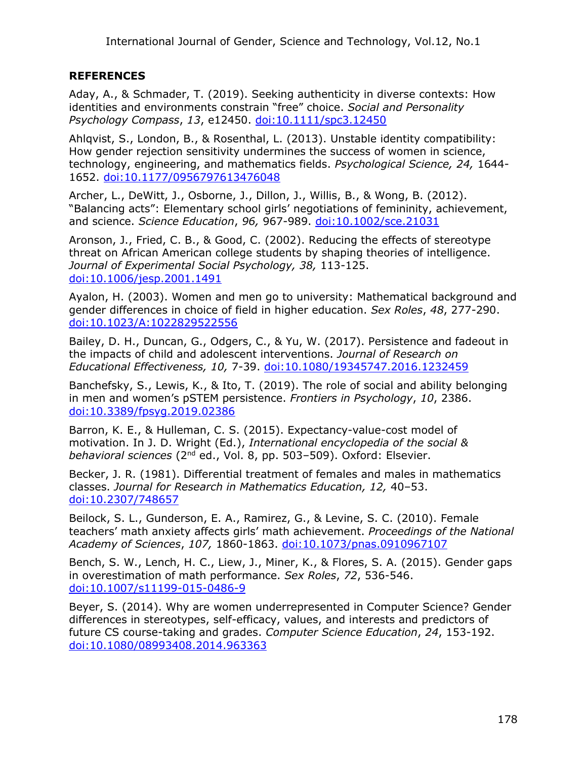#### **REFERENCES**

Aday, A., & Schmader, T. (2019). Seeking authenticity in diverse contexts: How identities and environments constrain "free" choice. *Social and Personality Psychology Compass*, *13*, e12450. [doi:10.1111/spc3.12450](https://onlinelibrary.wiley.com/doi/full/10.1111/spc3.12450)

Ahlqvist, S., London, B., & Rosenthal, L. (2013). Unstable identity compatibility: How gender rejection sensitivity undermines the success of women in science, technology, engineering, and mathematics fields. *Psychological Science, 24,* 1644- 1652. [doi:10.1177/0956797613476048](https://journals.sagepub.com/doi/10.1177/0956797613476048)

Archer, L., DeWitt, J., Osborne, J., Dillon, J., Willis, B., & Wong, B. (2012). "Balancing acts": Elementary school girls' negotiations of femininity, achievement, and science. *Science Education*, *96,* 967-989. [doi:10.1002/sce.21031](http://onlinelibrary.wiley.com/doi/10.1002/sce.21031/full)

Aronson, J., Fried, C. B., & Good, C. (2002). Reducing the effects of stereotype threat on African American college students by shaping theories of intelligence. *Journal of Experimental Social Psychology, 38,* 113-125. [doi:10.1006/jesp.2001.1491](http://www.sciencedirect.com/science/article/pii/S002210310191491X)

Ayalon, H. (2003). Women and men go to university: Mathematical background and gender differences in choice of field in higher education. *Sex Roles*, *48*, 277-290. [doi:10.1023/A:1022829522556](https://link.springer.com/article/10.1023/A:1022829522556)

Bailey, D. H., Duncan, G., Odgers, C., & Yu, W. (2017). Persistence and fadeout in the impacts of child and adolescent interventions. *Journal of Research on Educational Effectiveness, 10,* 7-39. [doi:10.1080/19345747.2016.1232459](http://www.tandfonline.com/doi/abs/10.1080/19345747.2016.1232459)

Banchefsky, S., Lewis, K., & Ito, T. (2019). The role of social and ability belonging in men and women's pSTEM persistence. *Frontiers in Psychology*, *10*, 2386. [doi:10.3389/fpsyg.2019.02386](https://doi.org/10.3389/fpsyg.2019.02386)

Barron, K. E., & Hulleman, C. S. (2015). Expectancy-value-cost model of motivation. In J. D. Wright (Ed.), *International encyclopedia of the social & behavioral sciences* (2nd ed., Vol. 8, pp. 503–509). Oxford: Elsevier.

Becker, J. R. (1981). Differential treatment of females and males in mathematics classes. *Journal for Research in Mathematics Education, 12,* 40–53. [doi:10.2307/748657](https://www.jstor.org/stable/748657?casa_token=m29TjLUxRfYAAAAA:U-bLkZmnj6yOI3ZaFeZmMDAOoVVbJex19nJftcM-pkdYMvAWE9OCtUDbYjiGHTk2OgtXmfqu3dgm0zSRfWZcgQx2xE-ePxnGclFk2FErxENYAh1lrFEN&seq=1#metadata_info_tab_contents)

Beilock, S. L., Gunderson, E. A., Ramirez, G., & Levine, S. C. (2010). Female teachers' math anxiety affects girls' math achievement. *Proceedings of the National Academy of Sciences*, *107,* 1860-1863. [doi:10.1073/pnas.0910967107](http://www.pnas.org/content/107/5/1860.short)

Bench, S. W., Lench, H. C., Liew, J., Miner, K., & Flores, S. A. (2015). Gender gaps in overestimation of math performance. *Sex Roles*, *72*, 536-546. [doi:10.1007/s11199-015-0486-9](https://link.springer.com/article/10.1007/s11199-015-0486-9)

Beyer, S. (2014). Why are women underrepresented in Computer Science? Gender differences in stereotypes, self-efficacy, values, and interests and predictors of future CS course-taking and grades. *Computer Science Education*, *24*, 153-192. [doi:10.1080/08993408.2014.963363](https://www.tandfonline.com/doi/full/10.1080/08993408.2014.963363)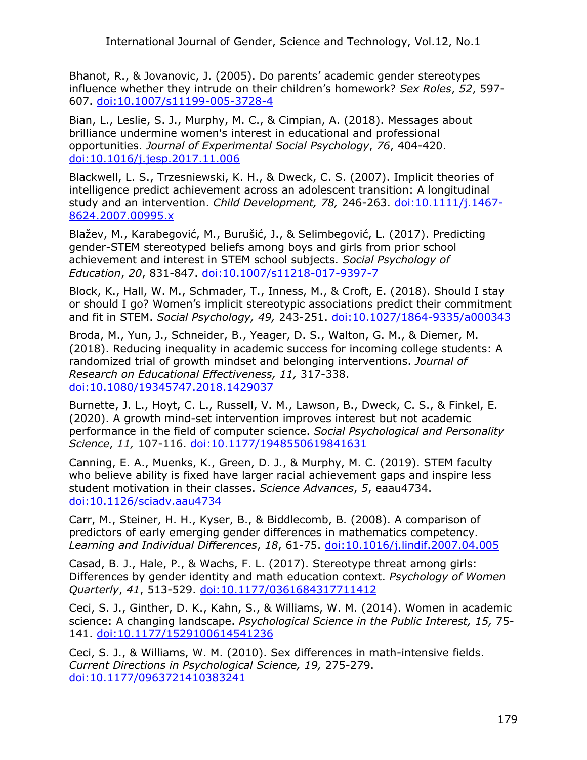Bhanot, R., & Jovanovic, J. (2005). Do parents' academic gender stereotypes influence whether they intrude on their children's homework? *Sex Roles*, *52*, 597- 607. [doi:10.1007/s11199-005-3728-4](https://link.springer.com/article/10.1007/s11199-005-3728-4)

Bian, L., Leslie, S. J., Murphy, M. C., & Cimpian, A. (2018). Messages about brilliance undermine women's interest in educational and professional opportunities. *Journal of Experimental Social Psychology*, *76*, 404-420. [doi:10.1016/j.jesp.2017.11.006](https://www.sciencedirect.com/science/article/pii/S0022103117303098?via%3Dihub)

Blackwell, L. S., Trzesniewski, K. H., & Dweck, C. S. (2007). Implicit theories of intelligence predict achievement across an adolescent transition: A longitudinal study and an intervention. *Child Development, 78,* 246-263. [doi:10.1111/j.1467-](https://srcd.onlinelibrary.wiley.com/doi/full/10.1111/j.1467-8624.2007.00995.x) [8624.2007.00995.x](https://srcd.onlinelibrary.wiley.com/doi/full/10.1111/j.1467-8624.2007.00995.x)

Blažev, M., Karabegović, M., Burušić, J., & Selimbegović, L. (2017). Predicting gender-STEM stereotyped beliefs among boys and girls from prior school achievement and interest in STEM school subjects. *Social Psychology of Education*, *20*, 831-847. [doi:10.1007/s11218-017-9397-7](https://link.springer.com/article/10.1007/s11218-017-9397-7)

Block, K., Hall, W. M., Schmader, T., Inness, M., & Croft, E. (2018). Should I stay or should I go? Women's implicit stereotypic associations predict their commitment and fit in STEM. *Social Psychology, 49,* 243-251. [doi:10.1027/1864-9335/a000343](https://econtent.hogrefe.com/doi/abs/10.1027/1864-9335/a000343)

Broda, M., Yun, J., Schneider, B., Yeager, D. S., Walton, G. M., & Diemer, M. (2018). Reducing inequality in academic success for incoming college students: A randomized trial of growth mindset and belonging interventions. *Journal of Research on Educational Effectiveness, 11,* 317-338. [doi:10.1080/19345747.2018.1429037](https://www.tandfonline.com/doi/full/10.1080/19345747.2018.1429037)

Burnette, J. L., Hoyt, C. L., Russell, V. M., Lawson, B., Dweck, C. S., & Finkel, E. (2020). A growth mind-set intervention improves interest but not academic performance in the field of computer science. *Social Psychological and Personality Science*, *11,* 107-116. [doi:10.1177/1948550619841631](https://doi-org.offcampus.lib.washington.edu/10.1177%2F1948550619841631)

Canning, E. A., Muenks, K., Green, D. J., & Murphy, M. C. (2019). STEM faculty who believe ability is fixed have larger racial achievement gaps and inspire less student motivation in their classes. *Science Advances*, *5*, eaau4734. [doi:10.1126/sciadv.aau4734](https://advances.sciencemag.org/content/5/2/eaau4734)

Carr, M., Steiner, H. H., Kyser, B., & Biddlecomb, B. (2008). A comparison of predictors of early emerging gender differences in mathematics competency. *Learning and Individual Differences*, *18*, 61-75. [doi:10.1016/j.lindif.2007.04.005](https://doi.org/10.1016/j.lindif.2007.04.005)

Casad, B. J., Hale, P., & Wachs, F. L. (2017). Stereotype threat among girls: Differences by gender identity and math education context. *Psychology of Women Quarterly*, *41*, 513-529. [doi:10.1177/0361684317711412](https://doi.org/10.1177%2F0361684317711412)

Ceci, S. J., Ginther, D. K., Kahn, S., & Williams, W. M. (2014). Women in academic science: A changing landscape. *Psychological Science in the Public Interest, 15,* 75- 141. [doi:10.1177/1529100614541236](http://journals.sagepub.com/doi/abs/10.1177/1529100614541236)

Ceci, S. J., & Williams, W. M. (2010). Sex differences in math-intensive fields. *Current Directions in Psychological Science, 19,* 275-279. [doi:10.1177/0963721410383241](https://doi.org/10.1177%2F0963721410383241)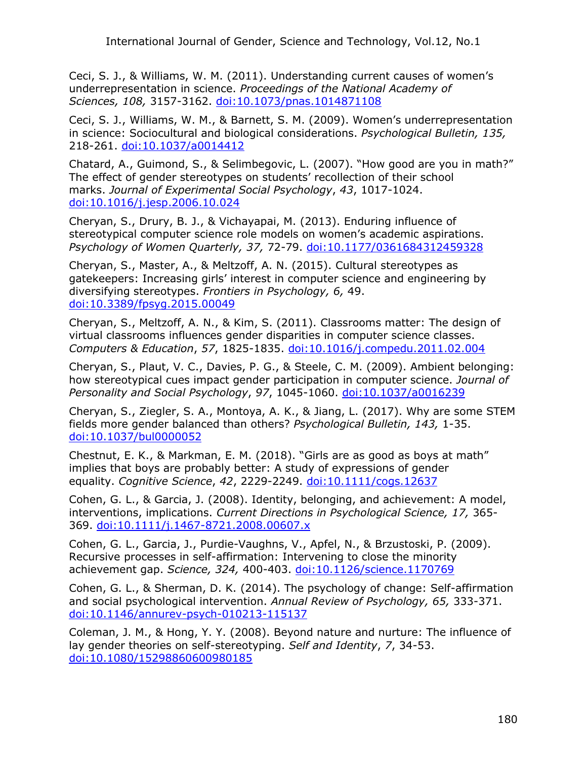Ceci, S. J., & Williams, W. M. (2011). Understanding current causes of women's underrepresentation in science. *Proceedings of the National Academy of Sciences, 108,* 3157-3162. [doi:10.1073/pnas.1014871108](http://www.pnas.org/content/108/8/3157.full)

Ceci, S. J., Williams, W. M., & Barnett, S. M. (2009). Women's underrepresentation in science: Sociocultural and biological considerations. *Psychological Bulletin, 135,* 218-261. [doi:10.1037/a0014412](http://psycnet.apa.org/record/2009-02580-007)

Chatard, A., Guimond, S., & Selimbegovic, L. (2007). "How good are you in math?" The effect of gender stereotypes on students' recollection of their school marks. *Journal of Experimental Social Psychology*, *43*, 1017-1024. [doi:10.1016/j.jesp.2006.10.024](https://doi.org/10.1016/j.jesp.2006.10.024)

Cheryan, S., Drury, B. J., & Vichayapai, M. (2013). Enduring influence of stereotypical computer science role models on women's academic aspirations. *Psychology of Women Quarterly, 37,* 72-79. [doi:10.1177/0361684312459328](http://journals.sagepub.com/doi/abs/10.1177/0361684312459328)

Cheryan, S., Master, A., & Meltzoff, A. N. (2015). Cultural stereotypes as gatekeepers: Increasing girls' interest in computer science and engineering by diversifying stereotypes. *Frontiers in Psychology, 6,* 49. [doi:10.3389/fpsyg.2015.00049](https://www.ncbi.nlm.nih.gov/pmc/articles/PMC4323745/)

Cheryan, S., Meltzoff, A. N., & Kim, S. (2011). Classrooms matter: The design of virtual classrooms influences gender disparities in computer science classes. *Computers & Education*, *57*, 1825-1835. [doi:10.1016/j.compedu.2011.02.004](https://doi.org/10.1016/j.compedu.2011.02.004)

Cheryan, S., Plaut, V. C., Davies, P. G., & Steele, C. M. (2009). Ambient belonging: how stereotypical cues impact gender participation in computer science. *Journal of Personality and Social Psychology*, *97*, 1045-1060. [doi:10.1037/a0016239](https://psycnet.apa.org/doi/10.1037/a0016239)

Cheryan, S., Ziegler, S. A., Montoya, A. K., & Jiang, L. (2017). Why are some STEM fields more gender balanced than others? *Psychological Bulletin, 143,* 1-35. [doi:10.1037/bul0000052](http://psycnet.apa.org/record/2016-48466-001)

Chestnut, E. K., & Markman, E. M. (2018). "Girls are as good as boys at math" implies that boys are probably better: A study of expressions of gender equality. *Cognitive Science*, *42*, 2229-2249. [doi:10.1111/cogs.12637](https://doi.org/10.1111/cogs.12637)

Cohen, G. L., & Garcia, J. (2008). Identity, belonging, and achievement: A model, interventions, implications. *Current Directions in Psychological Science, 17,* 365- 369. [doi:10.1111/j.1467-8721.2008.00607.x](http://journals.sagepub.com/doi/abs/10.1111/j.1467-8721.2008.00607.x)

Cohen, G. L., Garcia, J., Purdie-Vaughns, V., Apfel, N., & Brzustoski, P. (2009). Recursive processes in self-affirmation: Intervening to close the minority achievement gap. *Science, 324,* 400-403. [doi:10.1126/science.1170769](http://science.sciencemag.org/content/324/5925/400)

Cohen, G. L., & Sherman, D. K. (2014). The psychology of change: Self-affirmation and social psychological intervention. *Annual Review of Psychology, 65,* 333-371. [doi:10.1146/annurev-psych-010213-115137](http://www.annualreviews.org/doi/abs/10.1146/annurev-psych-010213-115137)

Coleman, J. M., & Hong, Y. Y. (2008). Beyond nature and nurture: The influence of lay gender theories on self-stereotyping. *Self and Identity*, *7*, 34-53. [doi:10.1080/15298860600980185](https://doi.org/10.1080/15298860600980185)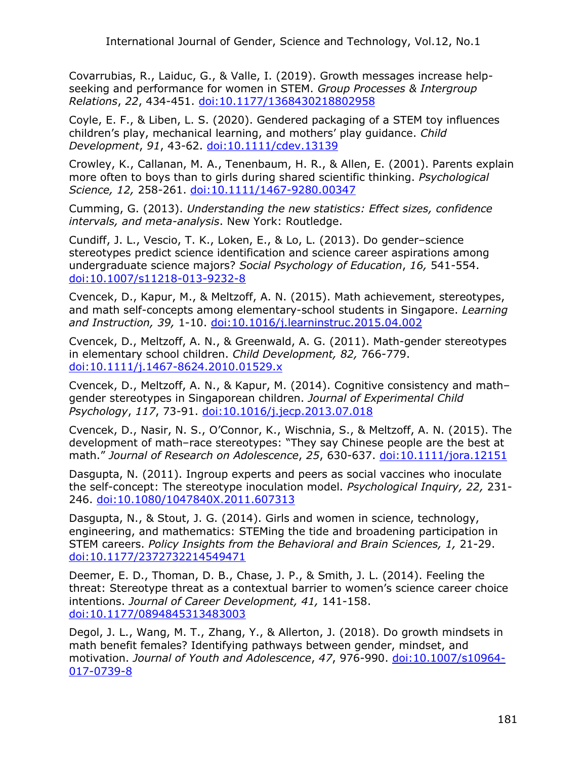Covarrubias, R., Laiduc, G., & Valle, I. (2019). Growth messages increase helpseeking and performance for women in STEM. *Group Processes & Intergroup Relations*, *22*, 434-451. [doi:10.1177/1368430218802958](https://doi.org/10.1177%2F1368430218802958)

Coyle, E. F., & Liben, L. S. (2020). Gendered packaging of a STEM toy influences children's play, mechanical learning, and mothers' play guidance. *Child Development*, *91*, 43-62. [doi:10.1111/cdev.13139](https://doi.org/10.1111/cdev.13139)

Crowley, K., Callanan, M. A., Tenenbaum, H. R., & Allen, E. (2001). Parents explain more often to boys than to girls during shared scientific thinking. *Psychological Science, 12,* 258-261. [doi:10.1111/1467-9280.00347](http://journals.sagepub.com/doi/abs/10.1111/1467-9280.00347)

Cumming, G. (2013). *Understanding the new statistics: Effect sizes, confidence intervals, and meta-analysis*. New York: Routledge.

Cundiff, J. L., Vescio, T. K., Loken, E., & Lo, L. (2013). Do gender–science stereotypes predict science identification and science career aspirations among undergraduate science majors? *Social Psychology of Education*, *16,* 541-554. [doi:10.1007/s11218-013-9232-8](https://link.springer.com/article/10.1007/s11218-013-9232-8)

Cvencek, D., Kapur, M., & Meltzoff, A. N. (2015). Math achievement, stereotypes, and math self-concepts among elementary-school students in Singapore. *Learning and Instruction, 39,* 1-10. [doi:10.1016/j.learninstruc.2015.04.002](http://www.sciencedirect.com/science/article/pii/S0959475215000341)

Cvencek, D., Meltzoff, A. N., & Greenwald, A. G. (2011). Math-gender stereotypes in elementary school children. *Child Development, 82,* 766-779. [doi:10.1111/j.1467-8624.2010.01529.x](http://onlinelibrary.wiley.com/doi/10.1111/j.1467-8624.2010.01529.x/full)

Cvencek, D., Meltzoff, A. N., & Kapur, M. (2014). Cognitive consistency and math– gender stereotypes in Singaporean children. *Journal of Experimental Child Psychology*, *117*, 73-91. [doi:10.1016/j.jecp.2013.07.018](https://doi.org/10.1016/j.jecp.2013.07.018)

Cvencek, D., Nasir, N. S., O'Connor, K., Wischnia, S., & Meltzoff, A. N. (2015). The development of math–race stereotypes: "They say Chinese people are the best at math." *Journal of Research on Adolescence*, *25*, 630-637. [doi:10.1111/jora.12151](https://doi.org/10.1111/jora.12151)

Dasgupta, N. (2011). Ingroup experts and peers as social vaccines who inoculate the self-concept: The stereotype inoculation model. *Psychological Inquiry, 22,* 231- 246. [doi:10.1080/1047840X.2011.607313](http://www.tandfonline.com/doi/abs/10.1080/1047840X.2011.607313)

Dasgupta, N., & Stout, J. G. (2014). Girls and women in science, technology, engineering, and mathematics: STEMing the tide and broadening participation in STEM careers. *Policy Insights from the Behavioral and Brain Sciences, 1,* 21-29. [doi:10.1177/2372732214549471](https://doi.org/10.1177%2F2372732214549471)

Deemer, E. D., Thoman, D. B., Chase, J. P., & Smith, J. L. (2014). Feeling the threat: Stereotype threat as a contextual barrier to women's science career choice intentions. *Journal of Career Development, 41,* 141-158. [doi:10.1177/0894845313483003](http://journals.sagepub.com/doi/abs/10.1177/0894845313483003)

Degol, J. L., Wang, M. T., Zhang, Y., & Allerton, J. (2018). Do growth mindsets in math benefit females? Identifying pathways between gender, mindset, and motivation. *Journal of Youth and Adolescence*, *47*, 976-990. [doi:10.1007/s10964-](https://link.springer.com/article/10.1007/s10964-017-0739-8) [017-0739-8](https://link.springer.com/article/10.1007/s10964-017-0739-8)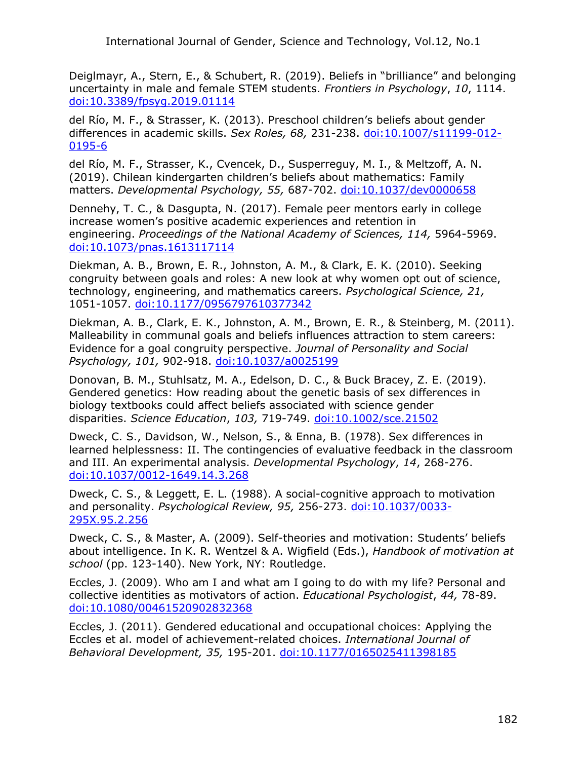Deiglmayr, A., Stern, E., & Schubert, R. (2019). Beliefs in "brilliance" and belonging uncertainty in male and female STEM students. *Frontiers in Psychology*, *10*, 1114. [doi:10.3389/fpsyg.2019.01114](https://doi.org/10.3389/fpsyg.2019.01114)

del Río, M. F., & Strasser, K. (2013). Preschool children's beliefs about gender differences in academic skills. *Sex Roles, 68,* 231-238. [doi:10.1007/s11199-012-](https://link.springer.com/article/10.1007/s11199-012-0195-6) [0195-6](https://link.springer.com/article/10.1007/s11199-012-0195-6)

del Río, M. F., Strasser, K., Cvencek, D., Susperreguy, M. I., & Meltzoff, A. N. (2019). Chilean kindergarten children's beliefs about mathematics: Family matters. *Developmental Psychology, 55,* 687-702. [doi:10.1037/dev0000658](https://psycnet.apa.org/doiLanding?doi=10.1037%2Fdev0000658)

Dennehy, T. C., & Dasgupta, N. (2017). Female peer mentors early in college increase women's positive academic experiences and retention in engineering. *Proceedings of the National Academy of Sciences, 114,* 5964-5969. [doi:10.1073/pnas.1613117114](http://www.pnas.org/content/114/23/5964.short)

Diekman, A. B., Brown, E. R., Johnston, A. M., & Clark, E. K. (2010). Seeking congruity between goals and roles: A new look at why women opt out of science, technology, engineering, and mathematics careers. *Psychological Science, 21,*  1051-1057. [doi:10.1177/0956797610377342](http://journals.sagepub.com/doi/abs/10.1177/0956797610377342)

Diekman, A. B., Clark, E. K., Johnston, A. M., Brown, E. R., & Steinberg, M. (2011). Malleability in communal goals and beliefs influences attraction to stem careers: Evidence for a goal congruity perspective. *Journal of Personality and Social Psychology, 101,* 902-918. [doi:10.1037/a0025199](http://psycnet.apa.org/record/2011-18538-001)

Donovan, B. M., Stuhlsatz, M. A., Edelson, D. C., & Buck Bracey, Z. E. (2019). Gendered genetics: How reading about the genetic basis of sex differences in biology textbooks could affect beliefs associated with science gender disparities. *Science Education*, *103,* 719-749. [doi:10.1002/sce.21502](https://doi.org/10.1002/sce.21502)

Dweck, C. S., Davidson, W., Nelson, S., & Enna, B. (1978). Sex differences in learned helplessness: II. The contingencies of evaluative feedback in the classroom and III. An experimental analysis. *Developmental Psychology*, *14*, 268-276. [doi:10.1037/0012-1649.14.3.268](https://psycnet.apa.org/doi/10.1037/0012-1649.14.3.268)

Dweck, C. S., & Leggett, E. L. (1988). A social-cognitive approach to motivation and personality. *Psychological Review, 95,* 256-273. [doi:10.1037/0033-](http://psycnet.apa.org/record/1988-29536-001) [295X.95.2.256](http://psycnet.apa.org/record/1988-29536-001)

Dweck, C. S., & Master, A. (2009). Self-theories and motivation: Students' beliefs about intelligence. In K. R. Wentzel & A. Wigfield (Eds.), *Handbook of motivation at school* (pp. 123-140). New York, NY: Routledge.

Eccles, J. (2009). Who am I and what am I going to do with my life? Personal and collective identities as motivators of action. *Educational Psychologist*, *44,* 78-89. [doi:10.1080/00461520902832368](https://doi.org/10.1080/00461520902832368)

Eccles, J. (2011). Gendered educational and occupational choices: Applying the Eccles et al. model of achievement-related choices. *International Journal of Behavioral Development, 35,* 195-201. [doi:10.1177/0165025411398185](http://journals.sagepub.com/doi/abs/10.1177/0165025411398185)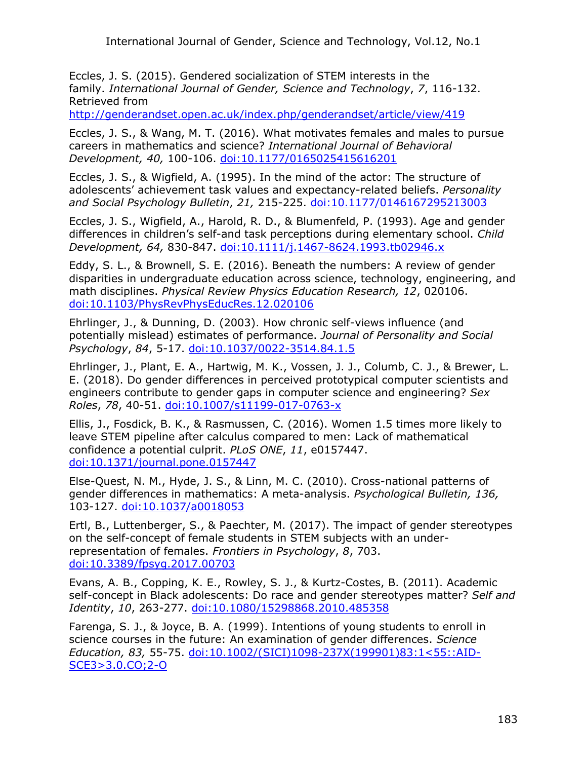Eccles, J. S. (2015). Gendered socialization of STEM interests in the family. *International Journal of Gender, Science and Technology*, *7*, 116-132. Retrieved from

<http://genderandset.open.ac.uk/index.php/genderandset/article/view/419>

Eccles, J. S., & Wang, M. T. (2016). What motivates females and males to pursue careers in mathematics and science? *International Journal of Behavioral Development, 40,* 100-106. [doi:10.1177/0165025415616201](http://journals.sagepub.com/doi/abs/10.1177/0165025415616201)

Eccles, J. S., & Wigfield, A. (1995). In the mind of the actor: The structure of adolescents' achievement task values and expectancy-related beliefs. *Personality and Social Psychology Bulletin*, *21,* 215-225. [doi:10.1177/0146167295213003](https://doi.org/10.1177%2F0146167295213003)

Eccles, J. S., Wigfield, A., Harold, R. D., & Blumenfeld, P. (1993). Age and gender differences in children's self-and task perceptions during elementary school. *Child Development, 64,* 830-847. [doi:10.1111/j.1467-8624.1993.tb02946.x](https://doi.org/10.1111/j.1467-8624.1993.tb02946.x)

Eddy, S. L., & Brownell, S. E. (2016). Beneath the numbers: A review of gender disparities in undergraduate education across science, technology, engineering, and math disciplines. *Physical Review Physics Education Research, 12*, 020106. [doi:10.1103/PhysRevPhysEducRes.12.020106](https://journals.aps.org/prper/abstract/10.1103/PhysRevPhysEducRes.12.020106)

Ehrlinger, J., & Dunning, D. (2003). How chronic self-views influence (and potentially mislead) estimates of performance. *Journal of Personality and Social Psychology*, *84*, 5-17. [doi:10.1037/0022-3514.84.1.5](https://psycnet.apa.org/doi/10.1037/0022-3514.84.1.5)

Ehrlinger, J., Plant, E. A., Hartwig, M. K., Vossen, J. J., Columb, C. J., & Brewer, L. E. (2018). Do gender differences in perceived prototypical computer scientists and engineers contribute to gender gaps in computer science and engineering? *Sex Roles*, *78*, 40-51. [doi:10.1007/s11199-017-0763-x](https://link.springer.com/article/10.1007/s11199-017-0763-x)

Ellis, J., Fosdick, B. K., & Rasmussen, C. (2016). Women 1.5 times more likely to leave STEM pipeline after calculus compared to men: Lack of mathematical confidence a potential culprit. *PLoS ONE*, *11*, e0157447. [doi:10.1371/journal.pone.0157447](https://doi.org/10.1371/journal.pone.0157447)

Else-Quest, N. M., Hyde, J. S., & Linn, M. C. (2010). Cross-national patterns of gender differences in mathematics: A meta-analysis. *Psychological Bulletin, 136,* 103-127. [doi:10.1037/a0018053](http://psycnet.apa.org/record/2009-24669-002)

Ertl, B., Luttenberger, S., & Paechter, M. (2017). The impact of gender stereotypes on the self-concept of female students in STEM subjects with an underrepresentation of females. *Frontiers in Psychology*, *8*, 703. [doi:10.3389/fpsyg.2017.00703](https://doi.org/10.3389/fpsyg.2017.00703)

Evans, A. B., Copping, K. E., Rowley, S. J., & Kurtz-Costes, B. (2011). Academic self-concept in Black adolescents: Do race and gender stereotypes matter? *Self and Identity*, *10*, 263-277. [doi:10.1080/15298868.2010.485358](https://doi.org/10.1080/15298868.2010.485358)

Farenga, S. J., & Joyce, B. A. (1999). Intentions of young students to enroll in science courses in the future: An examination of gender differences. *Science Education, 83,* 55-75. [doi:10.1002/\(SICI\)1098-237X\(199901\)83:1<55::AID-](http://onlinelibrary.wiley.com/doi/10.1002/(SICI)1098-237X(199901)83:1%3C55::AID-SCE3%3E3.0.CO;2-O/full)[SCE3>3.0.CO;2-O](http://onlinelibrary.wiley.com/doi/10.1002/(SICI)1098-237X(199901)83:1%3C55::AID-SCE3%3E3.0.CO;2-O/full)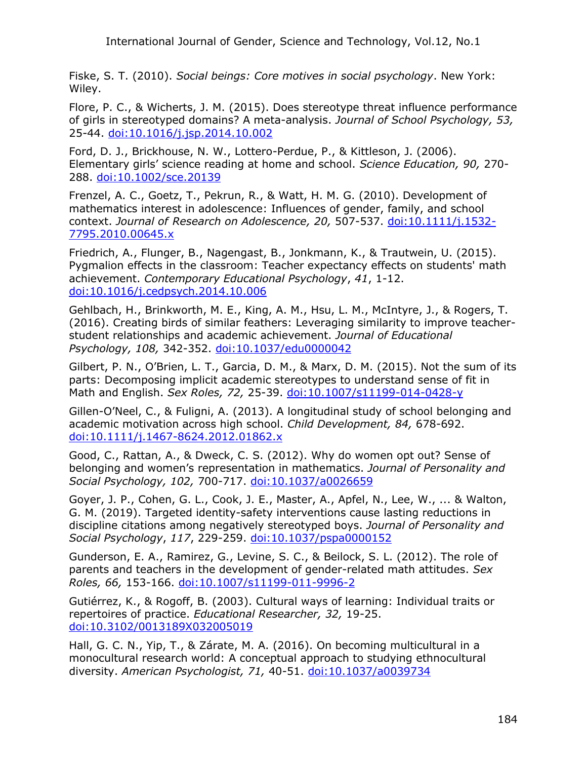Fiske, S. T. (2010). *Social beings: Core motives in social psychology*. New York: Wiley.

Flore, P. C., & Wicherts, J. M. (2015). Does stereotype threat influence performance of girls in stereotyped domains? A meta-analysis. *Journal of School Psychology, 53,* 25-44. [doi:10.1016/j.jsp.2014.10.002](http://www.sciencedirect.com/science/article/pii/S0022440514000831)

Ford, D. J., Brickhouse, N. W., Lottero-Perdue, P., & Kittleson, J. (2006). Elementary girls' science reading at home and school. *Science Education, 90,* 270- 288. [doi:10.1002/sce.20139](http://onlinelibrary.wiley.com/doi/10.1002/sce.20139/full)

Frenzel, A. C., Goetz, T., Pekrun, R., & Watt, H. M. G. (2010). Development of mathematics interest in adolescence: Influences of gender, family, and school context. *Journal of Research on Adolescence, 20,* 507-537. [doi:10.1111/j.1532-](http://onlinelibrary.wiley.com/doi/10.1111/j.1532-7795.2010.00645.x/full) [7795.2010.00645.x](http://onlinelibrary.wiley.com/doi/10.1111/j.1532-7795.2010.00645.x/full)

Friedrich, A., Flunger, B., Nagengast, B., Jonkmann, K., & Trautwein, U. (2015). Pygmalion effects in the classroom: Teacher expectancy effects on students' math achievement. *Contemporary Educational Psychology*, *41*, 1-12. [doi:10.1016/j.cedpsych.2014.10.006](https://doi.org/10.1016/j.cedpsych.2014.10.006)

Gehlbach, H., Brinkworth, M. E., King, A. M., Hsu, L. M., McIntyre, J., & Rogers, T. (2016). Creating birds of similar feathers: Leveraging similarity to improve teacherstudent relationships and academic achievement. *Journal of Educational Psychology, 108,* 342-352. [doi:10.1037/edu0000042](http://psycnet.apa.org/record/2016-07807-001)

Gilbert, P. N., O'Brien, L. T., Garcia, D. M., & Marx, D. M. (2015). Not the sum of its parts: Decomposing implicit academic stereotypes to understand sense of fit in Math and English. *Sex Roles, 72,* 25-39. [doi:10.1007/s11199-014-0428-y](https://link.springer.com/article/10.1007/s11199-014-0428-y)

Gillen-O'Neel, C., & Fuligni, A. (2013). A longitudinal study of school belonging and academic motivation across high school. *Child Development, 84,* 678-692. [doi:10.1111/j.1467-8624.2012.01862.x](http://onlinelibrary.wiley.com/doi/10.1111/j.1467-8624.2012.01862.x/full)

Good, C., Rattan, A., & Dweck, C. S. (2012). Why do women opt out? Sense of belonging and women's representation in mathematics. *Journal of Personality and Social Psychology, 102,* 700-717. [doi:10.1037/a0026659](http://psycnet.apa.org/record/2012-02597-001)

Goyer, J. P., Cohen, G. L., Cook, J. E., Master, A., Apfel, N., Lee, W., ... & Walton, G. M. (2019). Targeted identity-safety interventions cause lasting reductions in discipline citations among negatively stereotyped boys. *Journal of Personality and Social Psychology*, *117*, 229-259. [doi:10.1037/pspa0000152](https://psycnet.apa.org/record/2019-16540-001)

Gunderson, E. A., Ramirez, G., Levine, S. C., & Beilock, S. L. (2012). The role of parents and teachers in the development of gender-related math attitudes. *Sex Roles, 66,* 153-166. [doi:10.1007/s11199-011-9996-2](https://link.springer.com/article/10.1007/s11199-011-9996-2)

Gutiérrez, K., & Rogoff, B. (2003). Cultural ways of learning: Individual traits or repertoires of practice. *Educational Researcher, 32,* 19-25. [doi:10.3102/0013189X032005019](http://journals.sagepub.com/doi/abs/10.3102/0013189X032005019)

Hall, G. C. N., Yip, T., & Zárate, M. A. (2016). On becoming multicultural in a monocultural research world: A conceptual approach to studying ethnocultural diversity. *American Psychologist, 71,* 40-51. [doi:10.1037/a0039734](http://psycnet.apa.org/record/2016-00913-004)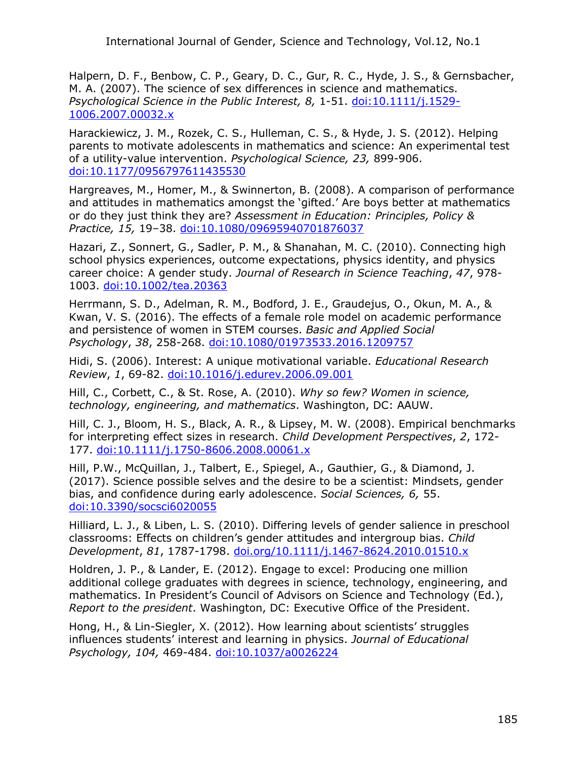Halpern, D. F., Benbow, C. P., Geary, D. C., Gur, R. C., Hyde, J. S., & Gernsbacher, M. A. (2007). The science of sex differences in science and mathematics. *Psychological Science in the Public Interest, 8,* 1-51. [doi:10.1111/j.1529-](https://doi.org/10.1111%2Fj.1529-1006.2007.00032.x) [1006.2007.00032.x](https://doi.org/10.1111%2Fj.1529-1006.2007.00032.x)

Harackiewicz, J. M., Rozek, C. S., Hulleman, C. S., & Hyde, J. S. (2012). Helping parents to motivate adolescents in mathematics and science: An experimental test of a utility-value intervention. *Psychological Science, 23,* 899-906. [doi:10.1177/0956797611435530](http://journals.sagepub.com/doi/abs/10.1177/0956797611435530)

Hargreaves, M., Homer, M., & Swinnerton, B. (2008). A comparison of performance and attitudes in mathematics amongst the 'gifted.' Are boys better at mathematics or do they just think they are? *Assessment in Education: Principles, Policy & Practice, 15,* 19–38. [doi:10.1080/09695940701876037](https://doi.org/10.1080/09695940701876037)

Hazari, Z., Sonnert, G., Sadler, P. M., & Shanahan, M. C. (2010). Connecting high school physics experiences, outcome expectations, physics identity, and physics career choice: A gender study. *Journal of Research in Science Teaching*, *47*, 978- 1003. [doi:10.1002/tea.20363](https://onlinelibrary.wiley.com/doi/abs/10.1002/tea.20363)

Herrmann, S. D., Adelman, R. M., Bodford, J. E., Graudejus, O., Okun, M. A., & Kwan, V. S. (2016). The effects of a female role model on academic performance and persistence of women in STEM courses. *Basic and Applied Social Psychology*, *38*, 258-268. [doi:10.1080/01973533.2016.1209757](https://doi.org/10.1080/01973533.2016.1209757)

Hidi, S. (2006). Interest: A unique motivational variable. *Educational Research Review*, *1*, 69-82. [doi:10.1016/j.edurev.2006.09.001](https://doi.org/10.1016/j.edurev.2006.09.001)

Hill, C., Corbett, C., & St. Rose, A. (2010). *Why so few? Women in science, technology, engineering, and mathematics*. Washington, DC: AAUW.

Hill, C. J., Bloom, H. S., Black, A. R., & Lipsey, M. W. (2008). Empirical benchmarks for interpreting effect sizes in research. *Child Development Perspectives*, *2*, 172- 177. [doi:10.1111/j.1750-8606.2008.00061.x](https://doi.org/10.1111/j.1750-8606.2008.00061.x)

Hill, P.W., McQuillan, J., Talbert, E., Spiegel, A., Gauthier, G., & Diamond, J. (2017). Science possible selves and the desire to be a scientist: Mindsets, gender bias, and confidence during early adolescence. *Social Sciences, 6,* 55. [doi:10.3390/socsci6020055](https://doi.org/10.3390/socsci6020055)

Hilliard, L. J., & Liben, L. S. (2010). Differing levels of gender salience in preschool classrooms: Effects on children's gender attitudes and intergroup bias. *Child Development*, *81*, 1787-1798. [doi.org/10.1111/j.1467-8624.2010.01510.x](https://doi.org/10.1111/j.1467-8624.2010.01510.x)

Holdren, J. P., & Lander, E. (2012). Engage to excel: Producing one million additional college graduates with degrees in science, technology, engineering, and mathematics. In President's Council of Advisors on Science and Technology (Ed.), *Report to the president*. Washington, DC: Executive Office of the President.

Hong, H., & Lin-Siegler, X. (2012). How learning about scientists' struggles influences students' interest and learning in physics. *Journal of Educational Psychology, 104,* 469-484. [doi:10.1037/a0026224](http://psycnet.apa.org/record/2011-25744-001)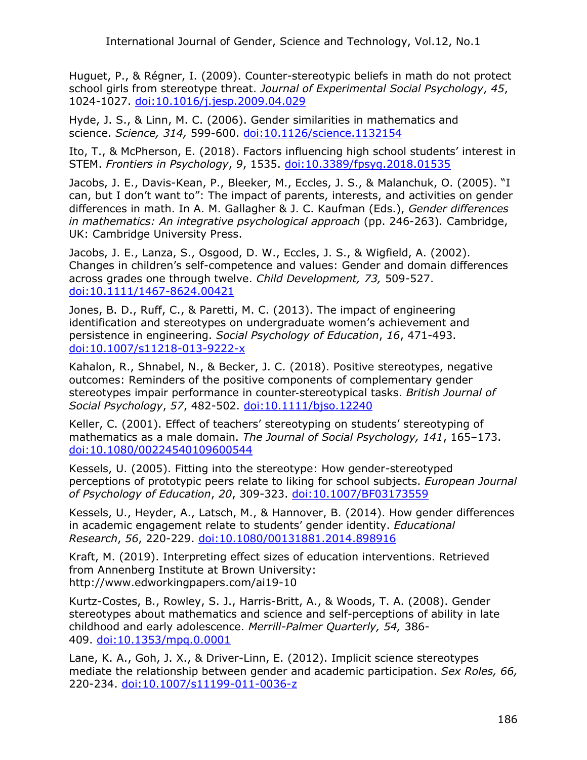Huguet, P., & Régner, I. (2009). Counter-stereotypic beliefs in math do not protect school girls from stereotype threat. *Journal of Experimental Social Psychology*, *45*, 1024-1027. [doi:10.1016/j.jesp.2009.04.029](https://doi.org/10.1016/j.jesp.2009.04.029)

Hyde, J. S., & Linn, M. C. (2006). Gender similarities in mathematics and science. *Science, 314,* 599-600. [doi:10.1126/science.1132154](https://science.sciencemag.org/content/314/5799/599)

Ito, T., & McPherson, E. (2018). Factors influencing high school students' interest in STEM. *Frontiers in Psychology*, *9*, 1535. [doi:10.3389/fpsyg.2018.01535](https://doi.org/10.3389/fpsyg.2018.01535)

Jacobs, J. E., Davis-Kean, P., Bleeker, M., Eccles, J. S., & Malanchuk, O. (2005). "I can, but I don't want to": The impact of parents, interests, and activities on gender differences in math. In A. M. Gallagher & J. C. Kaufman (Eds.), *Gender differences in mathematics: An integrative psychological approach* (pp. 246-263)*.* Cambridge, UK: Cambridge University Press.

Jacobs, J. E., Lanza, S., Osgood, D. W., Eccles, J. S., & Wigfield, A. (2002). Changes in children's self-competence and values: Gender and domain differences across grades one through twelve. *Child Development, 73,* 509-527. [doi:10.1111/1467-8624.00421](http://onlinelibrary.wiley.com/doi/10.1111/1467-8624.00421/full)

Jones, B. D., Ruff, C., & Paretti, M. C. (2013). The impact of engineering identification and stereotypes on undergraduate women's achievement and persistence in engineering. *Social Psychology of Education*, *16*, 471-493. [doi:10.1007/s11218-013-9222-x](https://link.springer.com/article/10.1007/s11218-013-9222-x)

Kahalon, R., Shnabel, N., & Becker, J. C. (2018). Positive stereotypes, negative outcomes: Reminders of the positive components of complementary gender stereotypes impair performance in counter‐stereotypical tasks. *British Journal of Social Psychology*, *57*, 482-502. [doi:10.1111/bjso.12240](https://doi.org/10.1111/bjso.12240)

Keller, C. (2001). Effect of teachers' stereotyping on students' stereotyping of mathematics as a male domain. *The Journal of Social Psychology, 141*, 165–173. [doi:10.1080/00224540109600544](https://www.tandfonline.com/doi/abs/10.1080/00224540109600544)

Kessels, U. (2005). Fitting into the stereotype: How gender-stereotyped perceptions of prototypic peers relate to liking for school subjects. *European Journal of Psychology of Education*, *20*, 309-323. [doi:10.1007/BF03173559](https://link.springer.com/article/10.1007/BF03173559)

Kessels, U., Heyder, A., Latsch, M., & Hannover, B. (2014). How gender differences in academic engagement relate to students' gender identity. *Educational Research*, *56*, 220-229. [doi:10.1080/00131881.2014.898916](https://doi.org/10.1080/00131881.2014.898916)

Kraft, M. (2019). Interpreting effect sizes of education interventions. Retrieved from Annenberg Institute at Brown University: http://www.edworkingpapers.com/ai19-10

Kurtz-Costes, B., Rowley, S. J., Harris-Britt, A., & Woods, T. A. (2008). Gender stereotypes about mathematics and science and self-perceptions of ability in late childhood and early adolescence. *Merrill-Palmer Quarterly, 54,* 386- 409. [doi:10.1353/mpq.0.0001](https://muse.jhu.edu/article/239783/summary)

Lane, K. A., Goh, J. X., & Driver-Linn, E. (2012). Implicit science stereotypes mediate the relationship between gender and academic participation. *Sex Roles, 66,* 220-234. [doi:10.1007/s11199-011-0036-z](https://link.springer.com/article/10.1007/s11199-011-0036-z)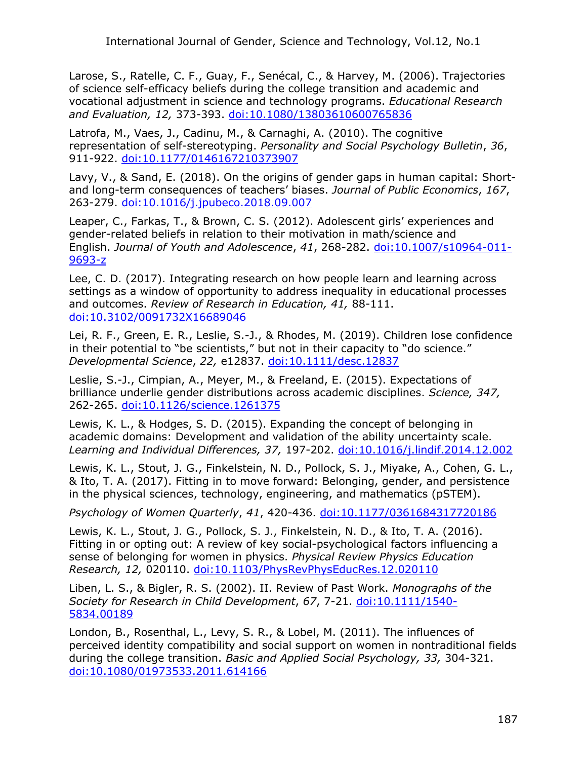Larose, S., Ratelle, C. F., Guay, F., Senécal, C., & Harvey, M. (2006). Trajectories of science self-efficacy beliefs during the college transition and academic and vocational adjustment in science and technology programs. *Educational Research and Evaluation, 12,* 373-393. [doi:10.1080/13803610600765836](http://www.tandfonline.com/doi/abs/10.1080/13803610600765836)

Latrofa, M., Vaes, J., Cadinu, M., & Carnaghi, A. (2010). The cognitive representation of self-stereotyping. *Personality and Social Psychology Bulletin*, *36*, 911-922. [doi:10.1177/0146167210373907](https://doi.org/10.1177%2F0146167210373907)

Lavy, V., & Sand, E. (2018). On the origins of gender gaps in human capital: Shortand long-term consequences of teachers' biases. *Journal of Public Economics*, *167*, 263-279. [doi:10.1016/j.jpubeco.2018.09.007](https://doi.org/10.1016/j.jpubeco.2018.09.007)

Leaper, C., Farkas, T., & Brown, C. S. (2012). Adolescent girls' experiences and gender-related beliefs in relation to their motivation in math/science and English. *Journal of Youth and Adolescence*, *41*, 268-282. [doi:10.1007/s10964-011-](https://link.springer.com/article/10.1007/s10964-011-9693-z) [9693-z](https://link.springer.com/article/10.1007/s10964-011-9693-z)

Lee, C. D. (2017). Integrating research on how people learn and learning across settings as a window of opportunity to address inequality in educational processes and outcomes. *Review of Research in Education, 41,* 88-111. [doi:10.3102/0091732X16689046](http://journals.sagepub.com/doi/abs/10.3102/0091732X16689046)

Lei, R. F., Green, E. R., Leslie, S.-J., & Rhodes, M. (2019). Children lose confidence in their potential to "be scientists," but not in their capacity to "do science." *Developmental Science*, *22,* e12837. [doi:10.1111/desc.12837](https://doi.org/10.1111/desc.12837)

Leslie, S.-J., Cimpian, A., Meyer, M., & Freeland, E. (2015). Expectations of brilliance underlie gender distributions across academic disciplines. *Science, 347,*  262-265. [doi:10.1126/science.1261375](http://science.sciencemag.org/content/347/6219/262)

Lewis, K. L., & Hodges, S. D. (2015). Expanding the concept of belonging in academic domains: Development and validation of the ability uncertainty scale. *Learning and Individual Differences, 37,* 197-202. [doi:10.1016/j.lindif.2014.12.002](http://www.sciencedirect.com/science/article/pii/S1041608014002477)

Lewis, K. L., Stout, J. G., Finkelstein, N. D., Pollock, S. J., Miyake, A., Cohen, G. L., & Ito, T. A. (2017). Fitting in to move forward: Belonging, gender, and persistence in the physical sciences, technology, engineering, and mathematics (pSTEM).

*Psychology of Women Quarterly*, *41*, 420-436. [doi:10.1177/0361684317720186](https://doi.org/10.1177%2F0361684317720186)

Lewis, K. L., Stout, J. G., Pollock, S. J., Finkelstein, N. D., & Ito, T. A. (2016). Fitting in or opting out: A review of key social-psychological factors influencing a sense of belonging for women in physics. *Physical Review Physics Education Research, 12,* 020110. [doi:10.1103/PhysRevPhysEducRes.12.020110](https://journals.aps.org/prper/abstract/10.1103/PhysRevPhysEducRes.12.020110)

Liben, L. S., & Bigler, R. S. (2002). II. Review of Past Work. *Monographs of the Society for Research in Child Development*, *67*, 7-21. [doi:10.1111/1540-](https://doi.org/10.1111/1540-5834.00189) [5834.00189](https://doi.org/10.1111/1540-5834.00189)

London, B., Rosenthal, L., Levy, S. R., & Lobel, M. (2011). The influences of perceived identity compatibility and social support on women in nontraditional fields during the college transition. *Basic and Applied Social Psychology, 33,* 304-321. [doi:10.1080/01973533.2011.614166](http://www.tandfonline.com/doi/abs/10.1080/01973533.2011.614166)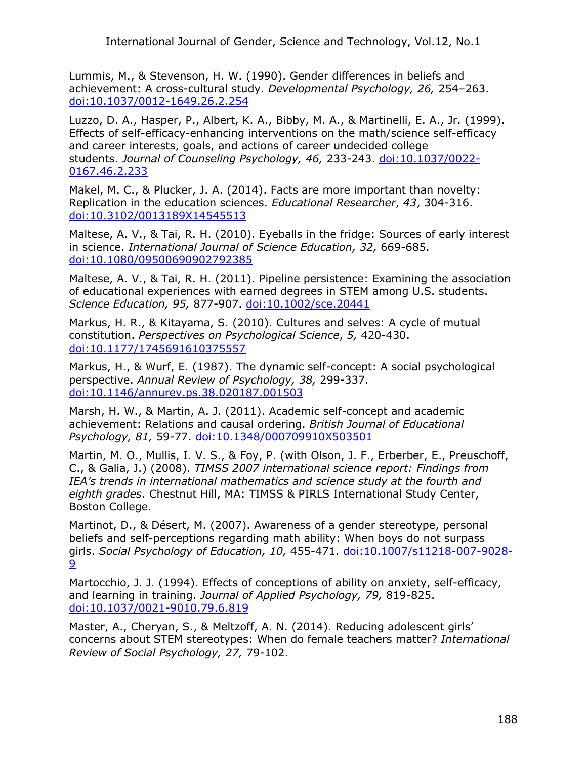Lummis, M., & Stevenson, H. W. (1990). Gender differences in beliefs and achievement: A cross-cultural study. *Developmental Psychology, 26,* 254–263. [doi:10.1037/0012-1649.26.2.254](https://psycnet.apa.org/record/1990-15776-001)

Luzzo, D. A., Hasper, P., Albert, K. A., Bibby, M. A., & Martinelli, E. A., Jr. (1999). Effects of self-efficacy-enhancing interventions on the math/science self-efficacy and career interests, goals, and actions of career undecided college students. *Journal of Counseling Psychology, 46,* 233-243. [doi:10.1037/0022-](http://psycnet.apa.org/record/1999-10585-008) [0167.46.2.233](http://psycnet.apa.org/record/1999-10585-008)

Makel, M. C., & Plucker, J. A. (2014). Facts are more important than novelty: Replication in the education sciences. *Educational Researcher*, *43*, 304-316. [doi:10.3102/0013189X14545513](https://doi.org/10.3102%2F0013189X14545513)

Maltese, A. V., & Tai, R. H. (2010). Eyeballs in the fridge: Sources of early interest in science. *International Journal of Science Education, 32,* 669-685. [doi:10.1080/09500690902792385](http://www.tandfonline.com/doi/abs/10.1080/09500690902792385)

Maltese, A. V., & Tai, R. H. (2011). Pipeline persistence: Examining the association of educational experiences with earned degrees in STEM among U.S. students. *Science Education, 95,* 877-907. [doi:10.1002/sce.20441](http://onlinelibrary.wiley.com/doi/10.1002/sce.20441/full)

Markus, H. R., & Kitayama, S. (2010). Cultures and selves: A cycle of mutual constitution. *Perspectives on Psychological Science*, *5,* 420-430. [doi:10.1177/1745691610375557](https://doi.org/10.1177%2F1745691610375557)

Markus, H., & Wurf, E. (1987). The dynamic self-concept: A social psychological perspective. *Annual Review of Psychology, 38,* 299-337. [doi:10.1146/annurev.ps.38.020187.001503](http://www.annualreviews.org/doi/abs/10.1146/annurev.ps.38.020187.001503?journalCode=psych)

Marsh, H. W., & Martin, A. J. (2011). Academic self-concept and academic achievement: Relations and causal ordering. *British Journal of Educational Psychology, 81,* 59-77. [doi:10.1348/000709910X503501](http://onlinelibrary.wiley.com/doi/10.1348/000709910X503501/full)

Martin, M. O., Mullis, I. V. S., & Foy, P. (with Olson, J. F., Erberber, E., Preuschoff, C., & Galia, J.) (2008). *TIMSS 2007 international science report: Findings from IEA's trends in international mathematics and science study at the fourth and eighth grades*. Chestnut Hill, MA: TIMSS & PIRLS International Study Center, Boston College.

Martinot, D., & Désert, M. (2007). Awareness of a gender stereotype, personal beliefs and self-perceptions regarding math ability: When boys do not surpass girls. *Social Psychology of Education, 10,* 455-471. [doi:10.1007/s11218-007-9028-](https://link.springer.com/article/10.1007%2Fs11218-007-9028-9?LI=true) [9](https://link.springer.com/article/10.1007%2Fs11218-007-9028-9?LI=true)

Martocchio, J. J. (1994). Effects of conceptions of ability on anxiety, self-efficacy, and learning in training. *Journal of Applied Psychology, 79,* 819-825. [doi:10.1037/0021-9010.79.6.819](http://psycnet.apa.org/record/1995-15516-001)

Master, A., Cheryan, S., & Meltzoff, A. N. (2014). Reducing adolescent girls' concerns about STEM stereotypes: When do female teachers matter? *International Review of Social Psychology, 27,* 79-102.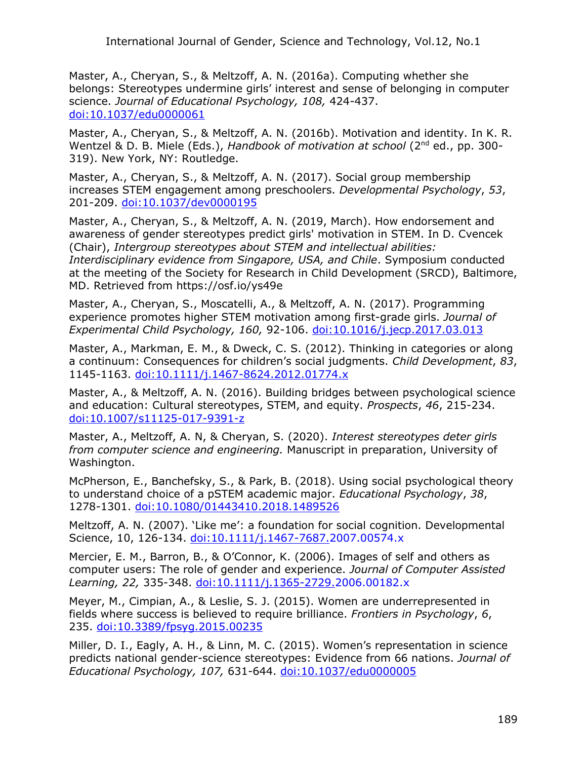Master, A., Cheryan, S., & Meltzoff, A. N. (2016a). Computing whether she belongs: Stereotypes undermine girls' interest and sense of belonging in computer science. *Journal of Educational Psychology, 108,* 424-437. [doi:10.1037/edu0000061](http://psycnet.apa.org/record/2015-37516-001)

Master, A., Cheryan, S., & Meltzoff, A. N. (2016b). Motivation and identity. In K. R. Wentzel & D. B. Miele (Eds.), *Handbook of motivation at school* (2<sup>nd</sup> ed., pp. 300-319). New York, NY: Routledge.

Master, A., Cheryan, S., & Meltzoff, A. N. (2017). Social group membership increases STEM engagement among preschoolers. *Developmental Psychology*, *53*, 201-209. [doi:10.1037/dev0000195](https://psycnet.apa.org/doi/10.1037/dev0000195)

Master, A., Cheryan, S., & Meltzoff, A. N. (2019, March). How endorsement and awareness of gender stereotypes predict girls' motivation in STEM. In D. Cvencek (Chair), *Intergroup stereotypes about STEM and intellectual abilities: Interdisciplinary evidence from Singapore, USA, and Chile*. Symposium conducted at the meeting of the Society for Research in Child Development (SRCD), Baltimore, MD. Retrieved from https://osf.io/ys49e

Master, A., Cheryan, S., Moscatelli, A., & Meltzoff, A. N. (2017). Programming experience promotes higher STEM motivation among first-grade girls. *Journal of Experimental Child Psychology, 160,* 92-106. [doi:10.1016/j.jecp.2017.03.013](http://www.sciencedirect.com/science/article/pii/S002209651730200X)

Master, A., Markman, E. M., & Dweck, C. S. (2012). Thinking in categories or along a continuum: Consequences for children's social judgments. *Child Development*, *83*, 1145-1163. [doi:10.1111/j.1467-8624.2012.01774.x](https://doi.org/10.1111/j.1467-8624.2012.01774.x)

Master, A., & Meltzoff, A. N. (2016). Building bridges between psychological science and education: Cultural stereotypes, STEM, and equity. *Prospects*, *46*, 215-234. [doi:10.1007/s11125-017-9391-z](https://link.springer.com/article/10.1007/s11125-017-9391-z)

Master, A., Meltzoff, A. N, & Cheryan, S. (2020). *Interest stereotypes deter girls from computer science and engineering.* Manuscript in preparation, University of Washington.

McPherson, E., Banchefsky, S., & Park, B. (2018). Using social psychological theory to understand choice of a pSTEM academic major. *Educational Psychology*, *38*, 1278-1301. [doi:10.1080/01443410.2018.1489526](https://doi.org/10.1080/01443410.2018.1489526)

Meltzoff, A. N. (2007). 'Like me': a foundation for social cognition. Developmental Science, 10, 126-134. [doi:10.1111/j.1467-7687.2007.00574.x](https://onlinelibrary.wiley.com/doi/abs/10.1111/j.1467-7687.2007.00574.x)

Mercier, E. M., Barron, B., & O'Connor, K. (2006). Images of self and others as computer users: The role of gender and experience. *Journal of Computer Assisted Learning, 22,* 335-348. [doi:10.1111/j.1365-2729.2006.00182.x](http://onlinelibrary.wiley.com/doi/10.1111/j.1365-2729.2006.00182.x/full)

Meyer, M., Cimpian, A., & Leslie, S. J. (2015). Women are underrepresented in fields where success is believed to require brilliance. *Frontiers in Psychology*, *6*, 235. [doi:10.3389/fpsyg.2015.00235](https://doi.org/10.3389/fpsyg.2015.00235)

Miller, D. I., Eagly, A. H., & Linn, M. C. (2015). Women's representation in science predicts national gender-science stereotypes: Evidence from 66 nations. *Journal of Educational Psychology, 107,* 631-644. [doi:10.1037/edu0000005](http://psycnet.apa.org/record/2014-44135-001)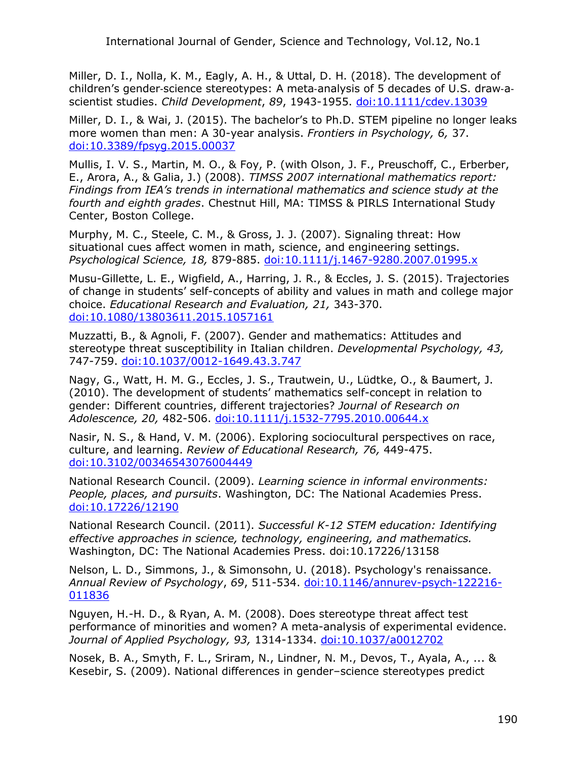Miller, D. I., Nolla, K. M., Eagly, A. H., & Uttal, D. H. (2018). The development of children's gender‐science stereotypes: A meta‐analysis of 5 decades of U.S. draw‐a‐ scientist studies. *Child Development*, *89*, 1943-1955. [doi:10.1111/cdev.13039](https://doi.org/10.1111/cdev.13039)

Miller, D. I., & Wai, J. (2015). The bachelor's to Ph.D. STEM pipeline no longer leaks more women than men: A 30-year analysis. *Frontiers in Psychology, 6,* 37. [doi:10.3389/fpsyg.2015.00037](https://www.ncbi.nlm.nih.gov/pmc/articles/PMC4331608/)

Mullis, I. V. S., Martin, M. O., & Foy, P. (with Olson, J. F., Preuschoff, C., Erberber, E., Arora, A., & Galia, J.) (2008). *TIMSS 2007 international mathematics report: Findings from IEA's trends in international mathematics and science study at the fourth and eighth grades*. Chestnut Hill, MA: TIMSS & PIRLS International Study Center, Boston College.

Murphy, M. C., Steele, C. M., & Gross, J. J. (2007). Signaling threat: How situational cues affect women in math, science, and engineering settings. *Psychological Science, 18,* 879-885. [doi:10.1111/j.1467-9280.2007.01995.x](http://journals.sagepub.com/doi/abs/10.1111/j.1467-9280.2007.01995.x)

Musu-Gillette, L. E., Wigfield, A., Harring, J. R., & Eccles, J. S. (2015). Trajectories of change in students' self-concepts of ability and values in math and college major choice. *Educational Research and Evaluation, 21,* 343-370. [doi:10.1080/13803611.2015.1057161](http://www.tandfonline.com/doi/abs/10.1080/13803611.2015.1057161)

Muzzatti, B., & Agnoli, F. (2007). Gender and mathematics: Attitudes and stereotype threat susceptibility in Italian children. *Developmental Psychology, 43,* 747-759. [doi:10.1037/0012-1649.43.3.747](http://psycnet.apa.org/buy/2007-06280-017)

Nagy, G., Watt, H. M. G., Eccles, J. S., Trautwein, U., Lüdtke, O., & Baumert, J. (2010). The development of students' mathematics self-concept in relation to gender: Different countries, different trajectories? *Journal of Research on Adolescence, 20,* 482-506. [doi:10.1111/j.1532-7795.2010.00644.x](http://onlinelibrary.wiley.com/doi/10.1111/j.1532-7795.2010.00644.x/full)

Nasir, N. S., & Hand, V. M. (2006). Exploring sociocultural perspectives on race, culture, and learning. *Review of Educational Research, 76,* 449-475. [doi:10.3102/00346543076004449](https://doi.org/10.3102%2F00346543076004449)

National Research Council. (2009). *Learning science in informal environments: People, places, and pursuits*. Washington, DC: The National Academies Press. [doi:10.17226/12190](https://doi.org/10.17226/12190)

National Research Council. (2011). *Successful K-12 STEM education: Identifying effective approaches in science, technology, engineering, and mathematics.* Washington, DC: The National Academies Press. doi:10.17226/13158

Nelson, L. D., Simmons, J., & Simonsohn, U. (2018). Psychology's renaissance. *Annual Review of Psychology*, *69*, 511-534. [doi:10.1146/annurev-psych-122216-](https://doi.org/10.1146/annurev-psych-122216-011836) [011836](https://doi.org/10.1146/annurev-psych-122216-011836)

Nguyen, H.-H. D., & Ryan, A. M. (2008). Does stereotype threat affect test performance of minorities and women? A meta-analysis of experimental evidence. *Journal of Applied Psychology, 93,* 1314-1334. [doi:10.1037/a0012702](http://psycnet.apa.org/record/2008-16251-009)

Nosek, B. A., Smyth, F. L., Sriram, N., Lindner, N. M., Devos, T., Ayala, A., ... & Kesebir, S. (2009). National differences in gender–science stereotypes predict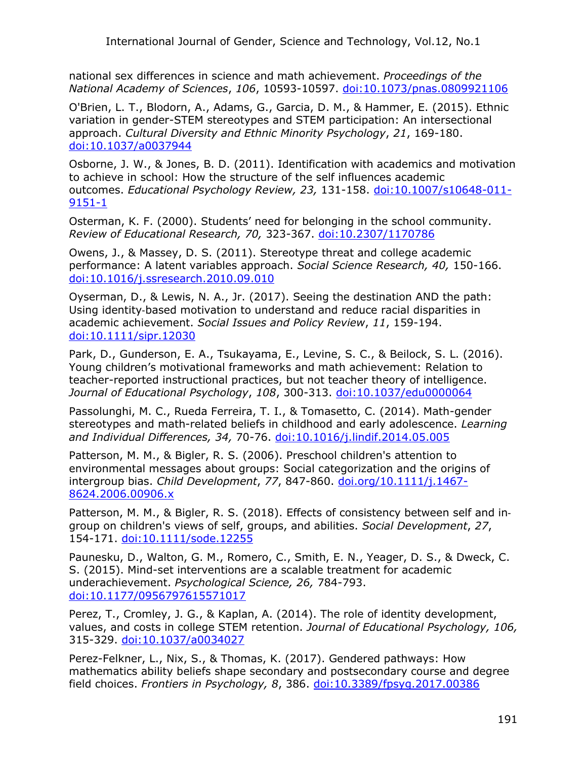national sex differences in science and math achievement. *Proceedings of the National Academy of Sciences*, *106*, 10593-10597. [doi:10.1073/pnas.0809921106](https://doi.org/10.1073/pnas.0809921106)

O'Brien, L. T., Blodorn, A., Adams, G., Garcia, D. M., & Hammer, E. (2015). Ethnic variation in gender-STEM stereotypes and STEM participation: An intersectional approach. *Cultural Diversity and Ethnic Minority Psychology*, *21*, 169-180. [doi:](https://psycnet.apa.org/doiLanding?doi=10.1037%2Fa0037944)[10.1037/a0037944](https://doi.org/10.1037/a0037944)

Osborne, J. W., & Jones, B. D. (2011). Identification with academics and motivation to achieve in school: How the structure of the self influences academic outcomes. *Educational Psychology Review, 23,* 131-158. [doi:10.1007/s10648-011-](https://link.springer.com/article/10.1007/s10648-011-9151-1) [9151-1](https://link.springer.com/article/10.1007/s10648-011-9151-1)

Osterman, K. F. (2000). Students' need for belonging in the school community. *Review of Educational Research, 70,* 323-367. [doi:10.2307/1170786](http://journals.sagepub.com/doi/abs/10.3102/00346543070003323)

Owens, J., & Massey, D. S. (2011). Stereotype threat and college academic performance: A latent variables approach. *Social Science Research, 40,* 150-166. [doi:10.1016/j.ssresearch.2010.09.010](https://doi.org/10.1016/j.ssresearch.2010.09.010)

Oyserman, D., & Lewis, N. A., Jr. (2017). Seeing the destination AND the path: Using identity‐based motivation to understand and reduce racial disparities in academic achievement. *Social Issues and Policy Review*, *11*, 159-194. [doi:10.1111/sipr.12030](https://doi.org/10.1111/sipr.12030)

Park, D., Gunderson, E. A., Tsukayama, E., Levine, S. C., & Beilock, S. L. (2016). Young children's motivational frameworks and math achievement: Relation to teacher-reported instructional practices, but not teacher theory of intelligence. *Journal of Educational Psychology*, *108*, 300-313. [doi:10.1037/edu0000064](https://psycnet.apa.org/doi/10.1037/edu0000064)

Passolunghi, M. C., Rueda Ferreira, T. I., & Tomasetto, C. (2014). Math-gender stereotypes and math-related beliefs in childhood and early adolescence. *Learning and Individual Differences, 34,* 70-76. [doi:10.1016/j.lindif.2014.05.005](http://www.sciencedirect.com/science/article/pii/S1041608014000983)

Patterson, M. M., & Bigler, R. S. (2006). Preschool children's attention to environmental messages about groups: Social categorization and the origins of intergroup bias. *Child Development*, *77*, 847-860. [doi.org/10.1111/j.1467-](https://doi.org/10.1111/j.1467-8624.2006.00906.x) [8624.2006.00906.x](https://doi.org/10.1111/j.1467-8624.2006.00906.x)

Patterson, M. M., & Bigler, R. S. (2018). Effects of consistency between self and in‐ group on children's views of self, groups, and abilities. *Social Development*, *27*, 154-171. [doi:10.1111/sode.12255](https://doi.org/10.1111/sode.12255)

Paunesku, D., Walton, G. M., Romero, C., Smith, E. N., Yeager, D. S., & Dweck, C. S. (2015). Mind-set interventions are a scalable treatment for academic underachievement. *Psychological Science, 26,* 784-793. [doi:10.1177/0956797615571017](http://journals.sagepub.com/doi/abs/10.1177/0956797615571017)

Perez, T., Cromley, J. G., & Kaplan, A. (2014). The role of identity development, values, and costs in college STEM retention. *Journal of Educational Psychology, 106,* 315-329. [doi:10.1037/a0034027](http://psycnet.apa.org/record/2013-29639-001)

Perez-Felkner, L., Nix, S., & Thomas, K. (2017). Gendered pathways: How mathematics ability beliefs shape secondary and postsecondary course and degree field choices. *Frontiers in Psychology, 8*, 386. [doi:10.3389/fpsyg.2017.00386](https://www.ncbi.nlm.nih.gov/pmc/articles/PMC5382838/)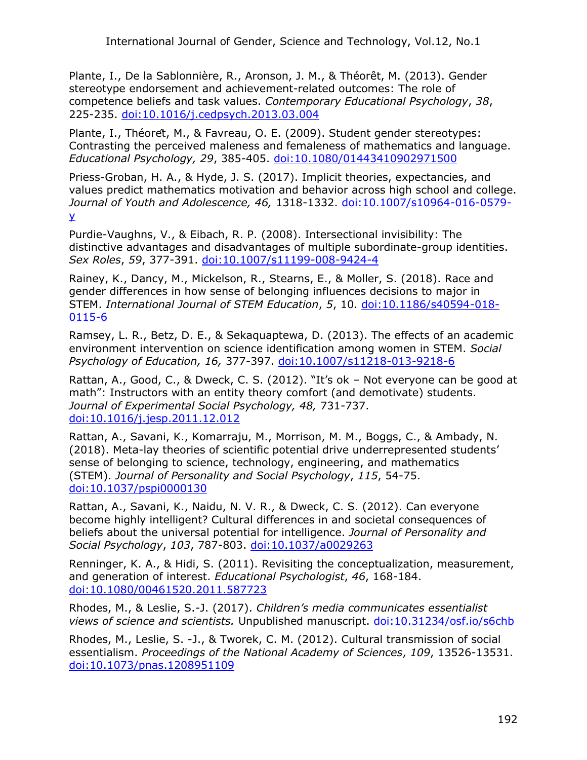Plante, I., De la Sablonnière, R., Aronson, J. M., & Théorêt, M. (2013). Gender stereotype endorsement and achievement-related outcomes: The role of competence beliefs and task values. *Contemporary Educational Psychology*, *38*, 225-235. [doi:10.1016/j.cedpsych.2013.03.004](https://doi.org/10.1016/j.cedpsych.2013.03.004)

Plante, I., Théorêt, M., & Favreau, O. E. (2009). Student gender stereotypes: Contrasting the perceived maleness and femaleness of mathematics and language. *Educational Psychology, 29*, 385-405. [doi:10.1080/01443410902971500](https://www.tandfonline.com/doi/abs/10.1080/01443410902971500)

Priess-Groban, H. A., & Hyde, J. S. (2017). Implicit theories, expectancies, and values predict mathematics motivation and behavior across high school and college. *Journal of Youth and Adolescence, 46,* 1318-1332. [doi:10.1007/s10964-016-0579](https://link.springer.com/article/10.1007/s10964-016-0579-y) [y](https://link.springer.com/article/10.1007/s10964-016-0579-y)

Purdie-Vaughns, V., & Eibach, R. P. (2008). Intersectional invisibility: The distinctive advantages and disadvantages of multiple subordinate-group identities. *Sex Roles*, *59*, 377-391. [doi:10.1007/s11199-008-9424-4](https://link.springer.com/article/10.1007/s11199-008-9424-4)

Rainey, K., Dancy, M., Mickelson, R., Stearns, E., & Moller, S. (2018). Race and gender differences in how sense of belonging influences decisions to major in STEM. *International Journal of STEM Education*, *5*, 10. [doi:10.1186/s40594-018-](https://doi.org/10.1186/s40594-018-0115-6) [0115-6](https://doi.org/10.1186/s40594-018-0115-6)

Ramsey, L. R., Betz, D. E., & Sekaquaptewa, D. (2013). The effects of an academic environment intervention on science identification among women in STEM. *Social Psychology of Education, 16,* 377-397. [doi:10.1007/s11218-013-9218-6](https://link.springer.com/article/10.1007/s11218-013-9218-6)

Rattan, A., Good, C., & Dweck, C. S. (2012). "It's ok – Not everyone can be good at math": Instructors with an entity theory comfort (and demotivate) students. *Journal of Experimental Social Psychology, 48,* 731-737. [doi:10.1016/j.jesp.2011.12.012](http://www.sciencedirect.com/science/article/pii/S0022103111003027)

Rattan, A., Savani, K., Komarraju, M., Morrison, M. M., Boggs, C., & Ambady, N. (2018). Meta-lay theories of scientific potential drive underrepresented students' sense of belonging to science, technology, engineering, and mathematics (STEM). *Journal of Personality and Social Psychology*, *115*, 54-75. [doi:10.1037/pspi0000130](https://psycnet.apa.org/doi/10.1037/pspi0000130)

Rattan, A., Savani, K., Naidu, N. V. R., & Dweck, C. S. (2012). Can everyone become highly intelligent? Cultural differences in and societal consequences of beliefs about the universal potential for intelligence. *Journal of Personality and Social Psychology*, *103*, 787-803. [doi:10.1037/a0029263](https://psycnet.apa.org/doi/10.1037/a0029263)

Renninger, K. A., & Hidi, S. (2011). Revisiting the conceptualization, measurement, and generation of interest. *Educational Psychologist*, *46*, 168-184. [doi:10.1080/00461520.2011.587723](https://doi.org/10.1080/00461520.2011.587723)

Rhodes, M., & Leslie, S.-J. (2017). *Children's media communicates essentialist views of science and scientists.* Unpublished manuscript. [doi:10.31234/osf.io/s6chb](https://psyarxiv.com/s6chb/)

Rhodes, M., Leslie, S. -J., & Tworek, C. M. (2012). Cultural transmission of social essentialism. *Proceedings of the National Academy of Sciences*, *109*, 13526-13531. [doi:10.1073/pnas.1208951109](https://doi.org/10.1073/pnas.1208951109)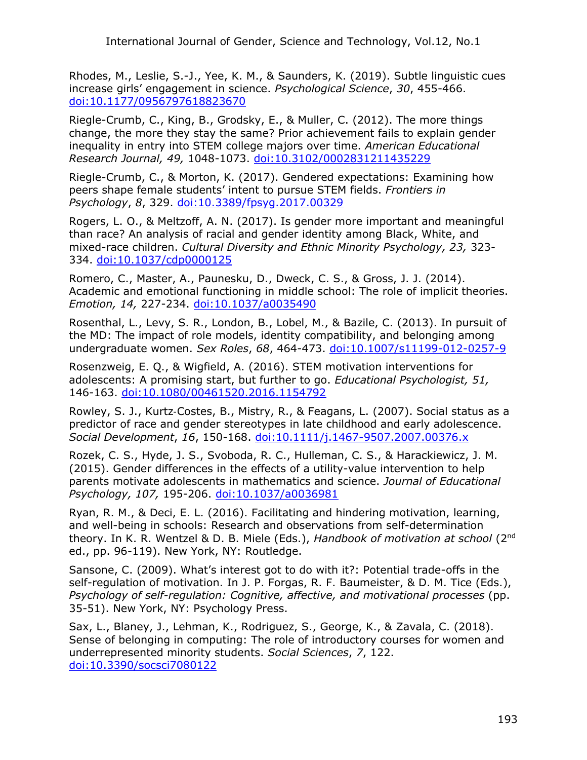Rhodes, M., Leslie, S.-J., Yee, K. M., & Saunders, K. (2019). Subtle linguistic cues increase girls' engagement in science. *Psychological Science*, *30*, 455-466. [doi:10.1177/0956797618823670](https://doi.org/10.1177%2F0956797618823670)

Riegle-Crumb, C., King, B., Grodsky, E., & Muller, C. (2012). The more things change, the more they stay the same? Prior achievement fails to explain gender inequality in entry into STEM college majors over time. *American Educational Research Journal, 49,* 1048-1073. [doi:10.3102/0002831211435229](https://doi.org/10.3102%2F0002831211435229)

Riegle-Crumb, C., & Morton, K. (2017). Gendered expectations: Examining how peers shape female students' intent to pursue STEM fields. *Frontiers in Psychology*, *8*, 329. [doi:10.3389/fpsyg.2017.00329](https://doi.org/10.3389/fpsyg.2017.00329)

Rogers, L. O., & Meltzoff, A. N. (2017). Is gender more important and meaningful than race? An analysis of racial and gender identity among Black, White, and mixed-race children. *Cultural Diversity and Ethnic Minority Psychology, 23,* 323- 334. [doi:10.1037/cdp0000125](http://psycnet.apa.org/record/2016-49337-001)

Romero, C., Master, A., Paunesku, D., Dweck, C. S., & Gross, J. J. (2014). Academic and emotional functioning in middle school: The role of implicit theories. *Emotion, 14,* 227-234. [doi:10.1037/a0035490](http://psycnet.apa.org/record/2014-04656-001)

Rosenthal, L., Levy, S. R., London, B., Lobel, M., & Bazile, C. (2013). In pursuit of the MD: The impact of role models, identity compatibility, and belonging among undergraduate women. *Sex Roles*, *68*, 464-473. [doi:10.1007/s11199-012-0257-9](https://link.springer.com/article/10.1007/s11199-012-0257-9)

Rosenzweig, E. Q., & Wigfield, A. (2016). STEM motivation interventions for adolescents: A promising start, but further to go. *Educational Psychologist, 51,* 146-163. [doi:10.1080/00461520.2016.1154792](http://www.tandfonline.com/doi/abs/10.1080/00461520.2016.1154792)

Rowley, S. J., Kurtz‐Costes, B., Mistry, R., & Feagans, L. (2007). Social status as a predictor of race and gender stereotypes in late childhood and early adolescence. *Social Development*, *16*, 150-168. [doi:10.1111/j.1467-9507.2007.00376.x](https://doi.org/10.1111/j.1467-9507.2007.00376.x)

Rozek, C. S., Hyde, J. S., Svoboda, R. C., Hulleman, C. S., & Harackiewicz, J. M. (2015). Gender differences in the effects of a utility-value intervention to help parents motivate adolescents in mathematics and science. *Journal of Educational Psychology, 107,* 195-206. [doi:10.1037/a0036981](http://psycnet.apa.org/record/2014-21952-001)

Ryan, R. M., & Deci, E. L. (2016). Facilitating and hindering motivation, learning, and well-being in schools: Research and observations from self-determination theory. In K. R. Wentzel & D. B. Miele (Eds.), *Handbook of motivation at school* (2<sup>nd</sup> ed., pp. 96-119). New York, NY: Routledge.

Sansone, C. (2009). What's interest got to do with it?: Potential trade-offs in the self-regulation of motivation. In J. P. Forgas, R. F. Baumeister, & D. M. Tice (Eds.), *Psychology of self-regulation: Cognitive, affective, and motivational processes* (pp. 35-51). New York, NY: Psychology Press.

Sax, L., Blaney, J., Lehman, K., Rodriguez, S., George, K., & Zavala, C. (2018). Sense of belonging in computing: The role of introductory courses for women and underrepresented minority students. *Social Sciences*, *7*, 122. [doi:10.3390/socsci7080122](https://doi.org/10.3390/socsci7080122)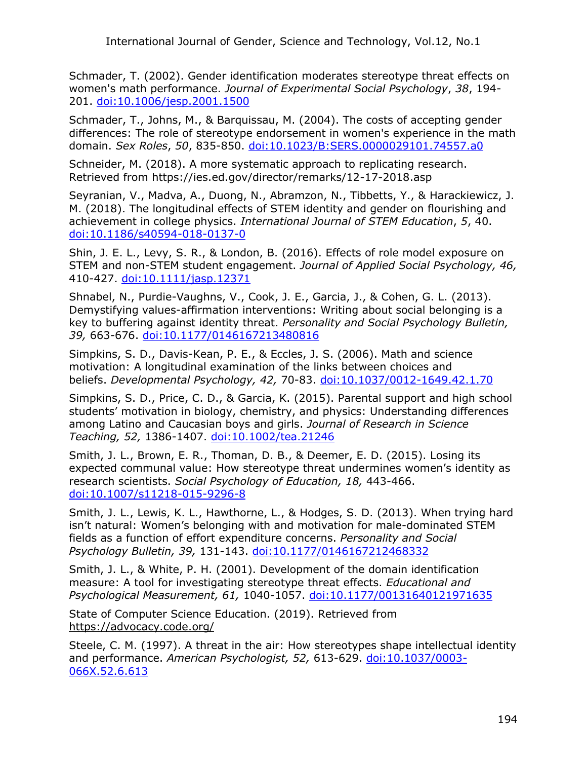Schmader, T. (2002). Gender identification moderates stereotype threat effects on women's math performance. *Journal of Experimental Social Psychology*, *38*, 194- 201. [doi:10.1006/jesp.2001.1500](https://doi.org/10.1006/jesp.2001.1500)

Schmader, T., Johns, M., & Barquissau, M. (2004). The costs of accepting gender differences: The role of stereotype endorsement in women's experience in the math domain. *Sex Roles*, *50*, 835-850. [doi:10.1023/B:SERS.0000029101.74557.a0](https://link.springer.com/article/10.1023/B:SERS.0000029101.74557.a0)

Schneider, M. (2018). A more systematic approach to replicating research. Retrieved from https://ies.ed.gov/director/remarks/12-17-2018.asp

Seyranian, V., Madva, A., Duong, N., Abramzon, N., Tibbetts, Y., & Harackiewicz, J. M. (2018). The longitudinal effects of STEM identity and gender on flourishing and achievement in college physics. *International Journal of STEM Education*, *5*, 40. [doi:10.1186/s40594-018-0137-0](https://doi.org/10.1186/s40594-018-0137-0)

Shin, J. E. L., Levy, S. R., & London, B. (2016). Effects of role model exposure on STEM and non-STEM student engagement. *Journal of Applied Social Psychology, 46,*  410-427. [doi:10.1111/jasp.12371](http://onlinelibrary.wiley.com/doi/10.1111/jasp.12371/full)

Shnabel, N., Purdie-Vaughns, V., Cook, J. E., Garcia, J., & Cohen, G. L. (2013). Demystifying values-affirmation interventions: Writing about social belonging is a key to buffering against identity threat. *Personality and Social Psychology Bulletin, 39,* 663-676. [doi:10.1177/0146167213480816](http://journals.sagepub.com/doi/abs/10.1177/0146167213480816)

Simpkins, S. D., Davis-Kean, P. E., & Eccles, J. S. (2006). Math and science motivation: A longitudinal examination of the links between choices and beliefs. *Developmental Psychology, 42,* 70-83. [doi:10.1037/0012-1649.42.1.70](http://psycnet.apa.org/record/2006-00646-006)

Simpkins, S. D., Price, C. D., & Garcia, K. (2015). Parental support and high school students' motivation in biology, chemistry, and physics: Understanding differences among Latino and Caucasian boys and girls. *Journal of Research in Science Teaching, 52,* 1386-1407. [doi:10.1002/tea.21246](http://onlinelibrary.wiley.com/doi/10.1002/tea.21246/full)

Smith, J. L., Brown, E. R., Thoman, D. B., & Deemer, E. D. (2015). Losing its expected communal value: How stereotype threat undermines women's identity as research scientists. *Social Psychology of Education, 18,* 443-466. [doi:10.1007/s11218-015-9296-8](https://link.springer.com/article/10.1007/s11218-015-9296-8)

Smith, J. L., Lewis, K. L., Hawthorne, L., & Hodges, S. D. (2013). When trying hard isn't natural: Women's belonging with and motivation for male-dominated STEM fields as a function of effort expenditure concerns. *Personality and Social Psychology Bulletin, 39,* 131-143. [doi:10.1177/0146167212468332](http://journals.sagepub.com/doi/abs/10.1177/0146167212468332)

Smith, J. L., & White, P. H. (2001). Development of the domain identification measure: A tool for investigating stereotype threat effects. *Educational and Psychological Measurement, 61,* 1040-1057. [doi:10.1177/00131640121971635](https://doi.org/10.1177%2F00131640121971635)

State of Computer Science Education. (2019). Retrieved from <https://advocacy.code.org/>

Steele, C. M. (1997). A threat in the air: How stereotypes shape intellectual identity and performance. *American Psychologist, 52,* 613-629. [doi:10.1037/0003-](http://psycnet.apa.org/record/1997-04591-001) [066X.52.6.613](http://psycnet.apa.org/record/1997-04591-001)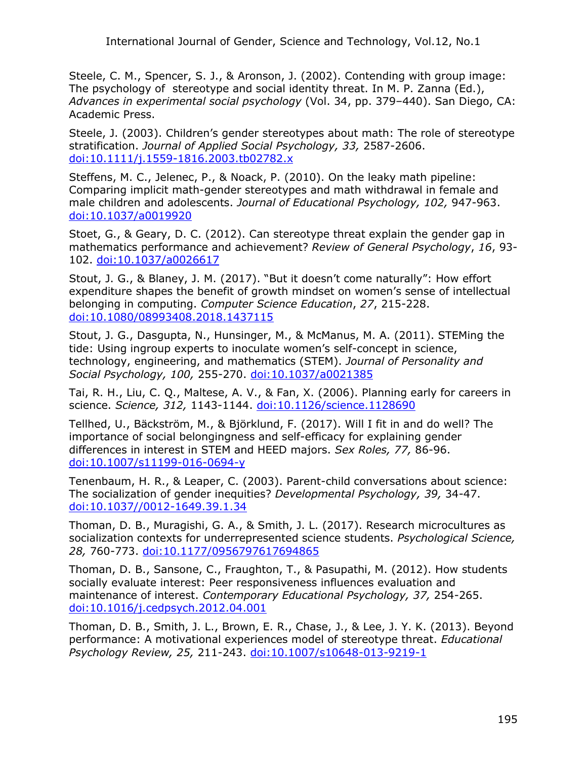Steele, C. M., Spencer, S. J., & Aronson, J. (2002). Contending with group image: The psychology of stereotype and social identity threat. In M. P. Zanna (Ed.), *Advances in experimental social psychology* (Vol. 34, pp. 379–440). San Diego, CA: Academic Press.

Steele, J. (2003). Children's gender stereotypes about math: The role of stereotype stratification. *Journal of Applied Social Psychology, 33,* 2587-2606. [doi:10.1111/j.1559-1816.2003.tb02782.x](http://onlinelibrary.wiley.com/doi/10.1111/j.1559-1816.2003.tb02782.x/full)

Steffens, M. C., Jelenec, P., & Noack, P. (2010). On the leaky math pipeline: Comparing implicit math-gender stereotypes and math withdrawal in female and male children and adolescents. *Journal of Educational Psychology, 102,* 947-963. [doi:10.1037/a0019920](http://psycnet.apa.org/record/2010-19096-001)

Stoet, G., & Geary, D. C. (2012). Can stereotype threat explain the gender gap in mathematics performance and achievement? *Review of General Psychology*, *16*, 93- 102. [doi:10.1037/a0026617](https://doi.org/10.1037%2Fa0026617)

Stout, J. G., & Blaney, J. M. (2017). "But it doesn't come naturally": How effort expenditure shapes the benefit of growth mindset on women's sense of intellectual belonging in computing. *Computer Science Education*, *27*, 215-228. [doi:10.1080/08993408.2018.1437115](https://doi.org/10.1080/08993408.2018.1437115)

Stout, J. G., Dasgupta, N., Hunsinger, M., & McManus, M. A. (2011). STEMing the tide: Using ingroup experts to inoculate women's self-concept in science, technology, engineering, and mathematics (STEM). *Journal of Personality and Social Psychology, 100,* 255-270. [doi:10.1037/a0021385](http://psycnet.apa.org/record/2010-25580-001)

Tai, R. H., Liu, C. Q., Maltese, A. V., & Fan, X. (2006). Planning early for careers in science. *Science, 312,* 1143-1144. [doi:10.1126/science.1128690](http://afterschoolalliance.org/documents/STEM/RHTai2006Science_PlanEarly.pdf)

Tellhed, U., Bäckström, M., & Björklund, F. (2017). Will I fit in and do well? The importance of social belongingness and self-efficacy for explaining gender differences in interest in STEM and HEED majors. *Sex Roles, 77,* 86-96. [doi:10.1007/s11199-016-0694-y](https://link.springer.com/article/10.1007/s11199-016-0694-y)

Tenenbaum, H. R., & Leaper, C. (2003). Parent-child conversations about science: The socialization of gender inequities? *Developmental Psychology, 39,* 34-47. [doi:10.1037//0012-1649.39.1.34](http://psycnet.apa.org/record/2002-11235-005)

Thoman, D. B., Muragishi, G. A., & Smith, J. L. (2017). Research microcultures as socialization contexts for underrepresented science students. *Psychological Science, 28,* 760-773. [doi:10.1177/0956797617694865](http://journals.sagepub.com/doi/abs/10.1177/0956797617694865)

Thoman, D. B., Sansone, C., Fraughton, T., & Pasupathi, M. (2012). How students socially evaluate interest: Peer responsiveness influences evaluation and maintenance of interest. *Contemporary Educational Psychology, 37,* 254-265. [doi:10.1016/j.cedpsych.2012.04.001](http://www.sciencedirect.com/science/article/pii/S0361476X12000288)

Thoman, D. B., Smith, J. L., Brown, E. R., Chase, J., & Lee, J. Y. K. (2013). Beyond performance: A motivational experiences model of stereotype threat. *Educational Psychology Review, 25,* 211-243. [doi:10.1007/s10648-013-9219-1](https://link.springer.com/article/10.1007/s10648-013-9219-1)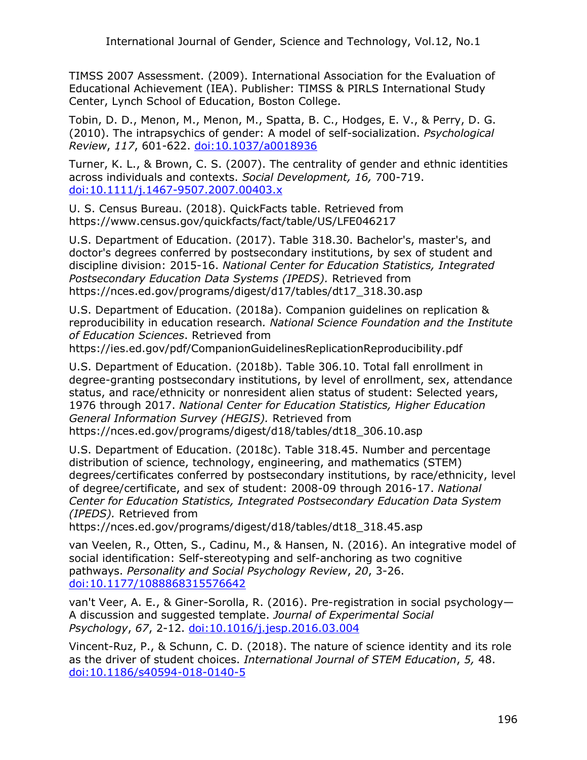TIMSS 2007 Assessment. (2009). International Association for the Evaluation of Educational Achievement (IEA). Publisher: TIMSS & PIRLS International Study Center, Lynch School of Education, Boston College.

Tobin, D. D., Menon, M., Menon, M., Spatta, B. C., Hodges, E. V., & Perry, D. G. (2010). The intrapsychics of gender: A model of self-socialization. *Psychological Review*, *117*, 601-622. [doi:10.1037/a0018936](https://psycnet.apa.org/doi/10.1037/a0018936)

Turner, K. L., & Brown, C. S. (2007). The centrality of gender and ethnic identities across individuals and contexts. *Social Development, 16,* 700-719. [doi:10.1111/j.1467-9507.2007.00403.x](http://onlinelibrary.wiley.com/doi/10.1111/j.1467-9507.2007.00403.x/full)

U. S. Census Bureau. (2018). QuickFacts table. Retrieved from https://www.census.gov/quickfacts/fact/table/US/LFE046217

U.S. Department of Education. (2017). Table 318.30. Bachelor's, master's, and doctor's degrees conferred by postsecondary institutions, by sex of student and discipline division: 2015-16. *National Center for Education Statistics, Integrated Postsecondary Education Data Systems (IPEDS).* Retrieved from https://nces.ed.gov/programs/digest/d17/tables/dt17\_318.30.asp

U.S. Department of Education. (2018a). Companion guidelines on replication & reproducibility in education research*. National Science Foundation and the Institute of Education Sciences*. Retrieved from

https://ies.ed.gov/pdf/CompanionGuidelinesReplicationReproducibility.pdf

U.S. Department of Education. (2018b). Table 306.10. Total fall enrollment in degree-granting postsecondary institutions, by level of enrollment, sex, attendance status, and race/ethnicity or nonresident alien status of student: Selected years, 1976 through 2017. *National Center for Education Statistics, Higher Education General Information Survey (HEGIS).* Retrieved from https://nces.ed.gov/programs/digest/d18/tables/dt18\_306.10.asp

U.S. Department of Education. (2018c). Table 318.45. Number and percentage distribution of science, technology, engineering, and mathematics (STEM) degrees/certificates conferred by postsecondary institutions, by race/ethnicity, level of degree/certificate, and sex of student: 2008-09 through 2016-17. *National Center for Education Statistics, Integrated Postsecondary Education Data System (IPEDS).* Retrieved from

https://nces.ed.gov/programs/digest/d18/tables/dt18\_318.45.asp

van Veelen, R., Otten, S., Cadinu, M., & Hansen, N. (2016). An integrative model of social identification: Self-stereotyping and self-anchoring as two cognitive pathways. *Personality and Social Psychology Review*, *20*, 3-26. [doi:10.1177/1088868315576642](https://doi.org/10.1177%2F1088868315576642)

van't Veer, A. E., & Giner-Sorolla, R. (2016). Pre-registration in social psychology— A discussion and suggested template. *Journal of Experimental Social Psychology*, *67*, 2-12. [doi:10.1016/j.jesp.2016.03.004](https://doi.org/10.1016/j.jesp.2016.03.004)

Vincent-Ruz, P., & Schunn, C. D. (2018). The nature of science identity and its role as the driver of student choices. *International Journal of STEM Education*, *5,* 48. [doi:10.1186/s40594-018-0140-5](https://doi.org/10.1186/s40594-018-0140-5)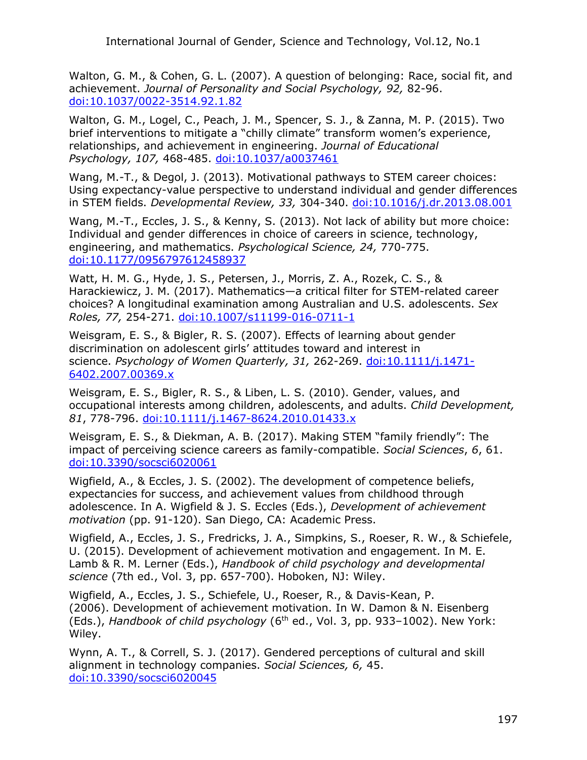Walton, G. M., & Cohen, G. L. (2007). A question of belonging: Race, social fit, and achievement. *Journal of Personality and Social Psychology, 92,* 82-96. [doi:10.1037/0022-3514.92.1.82](http://psycnet.apa.org/record/2006-23056-007)

Walton, G. M., Logel, C., Peach, J. M., Spencer, S. J., & Zanna, M. P. (2015). Two brief interventions to mitigate a "chilly climate" transform women's experience, relationships, and achievement in engineering. *Journal of Educational Psychology, 107,* 468-485. [doi:10.1037/a0037461](http://psycnet.apa.org/record/2014-31790-001)

Wang, M.-T., & Degol, J. (2013). Motivational pathways to STEM career choices: Using expectancy-value perspective to understand individual and gender differences in STEM fields. *Developmental Review, 33,* 304-340. [doi:10.1016/j.dr.2013.08.001](http://www.sciencedirect.com/science/article/pii/S0273229713000269)

Wang, M.-T., Eccles, J. S., & Kenny, S. (2013). Not lack of ability but more choice: Individual and gender differences in choice of careers in science, technology, engineering, and mathematics. *Psychological Science, 24,* 770-775. [doi:10.1177/0956797612458937](http://journals.sagepub.com/doi/abs/10.1177/0956797612458937)

Watt, H. M. G., Hyde, J. S., Petersen, J., Morris, Z. A., Rozek, C. S., & Harackiewicz, J. M. (2017). Mathematics—a critical filter for STEM-related career choices? A longitudinal examination among Australian and U.S. adolescents. *Sex Roles, 77,* 254-271. [doi:10.1007/s11199-016-0711-1](https://link.springer.com/article/10.1007/s11199-016-0711-1)

Weisgram, E. S., & Bigler, R. S. (2007). Effects of learning about gender discrimination on adolescent girls' attitudes toward and interest in science. *Psychology of Women Quarterly, 31,* 262-269. [doi:10.1111/j.1471-](http://onlinelibrary.wiley.com/doi/10.1111/j.1471-6402.2007.00369.x/full) [6402.2007.00369.x](http://onlinelibrary.wiley.com/doi/10.1111/j.1471-6402.2007.00369.x/full)

Weisgram, E. S., Bigler, R. S., & Liben, L. S. (2010). Gender, values, and occupational interests among children, adolescents, and adults. *Child Development, 81*, 778-796. [doi:10.1111/j.1467-8624.2010.01433.x](https://doi.org/10.1111/j.1467-8624.2010.01433.x)

Weisgram, E. S., & Diekman, A. B. (2017). Making STEM "family friendly": The impact of perceiving science careers as family-compatible. *Social Sciences*, *6*, 61. [doi:10.3390/socsci6020061](https://doi.org/10.3390/socsci6020061)

Wigfield, A., & Eccles, J. S. (2002). The development of competence beliefs, expectancies for success, and achievement values from childhood through adolescence. In A. Wigfield & J. S. Eccles (Eds.), *Development of achievement motivation* (pp. 91-120). San Diego, CA: Academic Press.

Wigfield, A., Eccles, J. S., Fredricks, J. A., Simpkins, S., Roeser, R. W., & Schiefele, U. (2015). Development of achievement motivation and engagement. In M. E. Lamb & R. M. Lerner (Eds.), *Handbook of child psychology and developmental science* (7th ed., Vol. 3, pp. 657-700). Hoboken, NJ: Wiley.

Wigfield, A., Eccles, J. S., Schiefele, U., Roeser, R., & Davis-Kean, P. (2006). Development of achievement motivation. In W. Damon & N. Eisenberg (Eds.), *Handbook of child psychology* (6th ed., Vol. 3, pp. 933–1002). New York: Wiley.

Wynn, A. T., & Correll, S. J. (2017). Gendered perceptions of cultural and skill alignment in technology companies. *Social Sciences, 6,* 45. [doi:10.3390/socsci6020045](http://www.mdpi.com/2076-0760/6/2/45/htm)